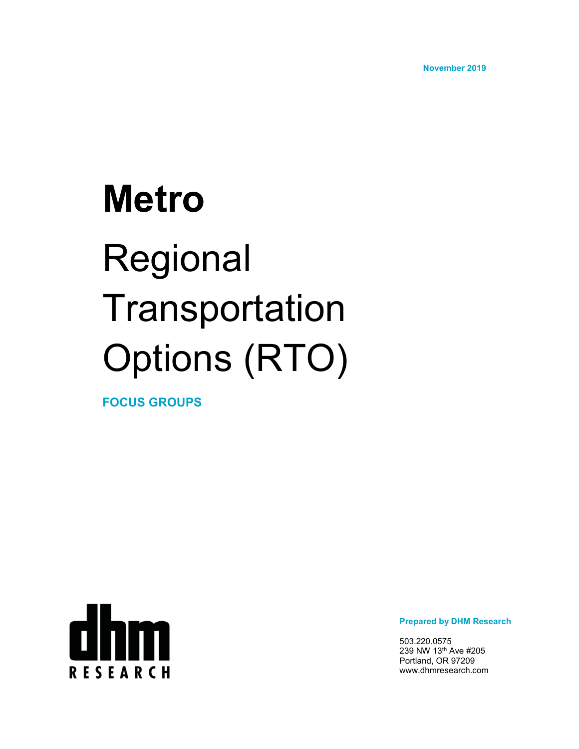**November 2019**

# **Metro** Regional **Transportation** Options (RTO)

**FOCUS GROUPS**



**Prepared by DHM Research**

503.220.0575 239 NW 13th Ave #205 Portland, OR 97209 www.dhmresearch.com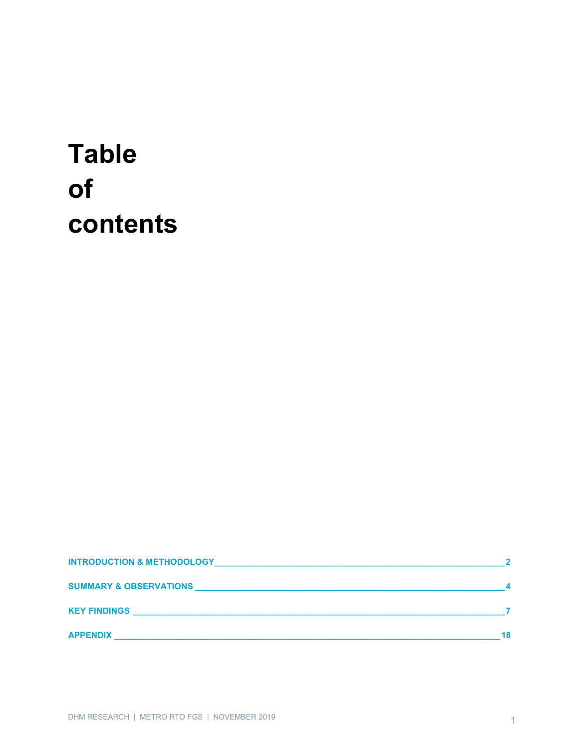# **Table** of contents

| <b>INTRODUCTION &amp; METHODOLOGY</b> |  |
|---------------------------------------|--|
| <b>SUMMARY &amp; OBSERVATIONS</b>     |  |
| <b>KEY FINDINGS</b>                   |  |
| <b>APPENDIX</b>                       |  |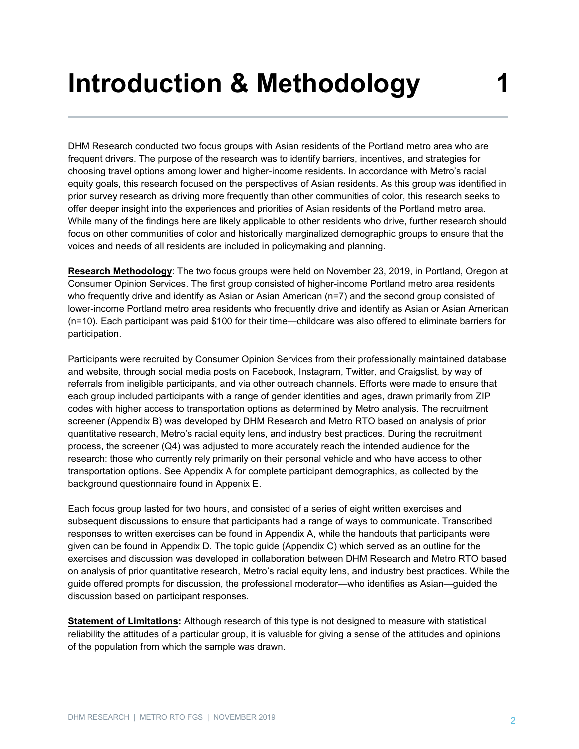# **Introduction & Methodology**

DHM Research conducted two focus groups with Asian residents of the Portland metro area who are frequent drivers. The purpose of the research was to identify barriers, incentives, and strategies for choosing travel options among lower and higher-income residents. In accordance with Metro's racial equity goals, this research focused on the perspectives of Asian residents. As this group was identified in prior survey research as driving more frequently than other communities of color, this research seeks to offer deeper insight into the experiences and priorities of Asian residents of the Portland metro area. While many of the findings here are likely applicable to other residents who drive, further research should focus on other communities of color and historically marginalized demographic groups to ensure that the voices and needs of all residents are included in policymaking and planning.

**Research Methodology**: The two focus groups were held on November 23, 2019, in Portland, Oregon at Consumer Opinion Services. The first group consisted of higher-income Portland metro area residents who frequently drive and identify as Asian or Asian American (n=7) and the second group consisted of lower-income Portland metro area residents who frequently drive and identify as Asian or Asian American (n=10). Each participant was paid \$100 for their time—childcare was also offered to eliminate barriers for participation.

Participants were recruited by Consumer Opinion Services from their professionally maintained database and website, through social media posts on Facebook, Instagram, Twitter, and Craigslist, by way of referrals from ineligible participants, and via other outreach channels. Efforts were made to ensure that each group included participants with a range of gender identities and ages, drawn primarily from ZIP codes with higher access to transportation options as determined by Metro analysis. The recruitment screener (Appendix B) was developed by DHM Research and Metro RTO based on analysis of prior quantitative research, Metro's racial equity lens, and industry best practices. During the recruitment process, the screener (Q4) was adjusted to more accurately reach the intended audience for the research: those who currently rely primarily on their personal vehicle and who have access to other transportation options. See Appendix A for complete participant demographics, as collected by the background questionnaire found in Appenix E.

Each focus group lasted for two hours, and consisted of a series of eight written exercises and subsequent discussions to ensure that participants had a range of ways to communicate. Transcribed responses to written exercises can be found in Appendix A, while the handouts that participants were given can be found in Appendix D. The topic guide (Appendix C) which served as an outline for the exercises and discussion was developed in collaboration between DHM Research and Metro RTO based on analysis of prior quantitative research, Metro's racial equity lens, and industry best practices. While the guide offered prompts for discussion, the professional moderator—who identifies as Asian—guided the discussion based on participant responses.

**Statement of Limitations:** Although research of this type is not designed to measure with statistical reliability the attitudes of a particular group, it is valuable for giving a sense of the attitudes and opinions of the population from which the sample was drawn.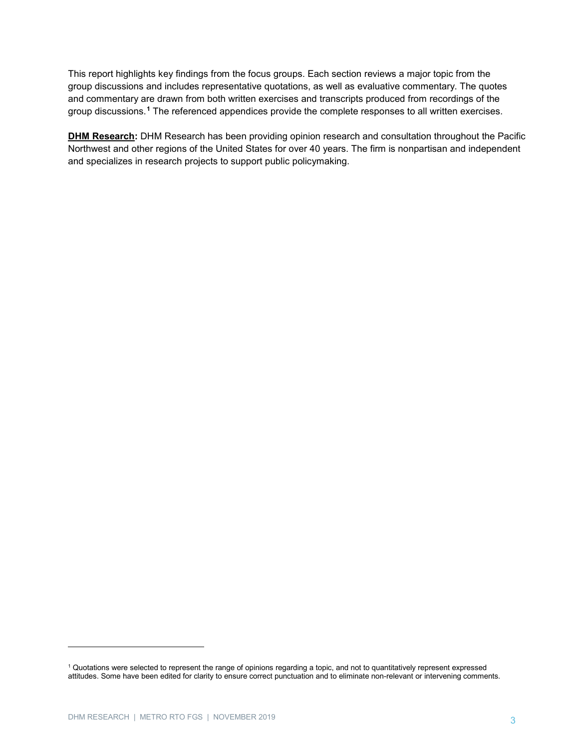This report highlights key findings from the focus groups. Each section reviews a major topic from the group discussions and includes representative quotations, as well as evaluative commentary. The quotes and commentary are drawn from both written exercises and transcripts produced from recordings of the group discussions.**[1](#page-3-0)** The referenced appendices provide the complete responses to all written exercises.

**DHM Research:** DHM Research has been providing opinion research and consultation throughout the Pacific Northwest and other regions of the United States for over 40 years. The firm is nonpartisan and independent and specializes in research projects to support public policymaking.

-

<span id="page-3-0"></span><sup>1</sup> Quotations were selected to represent the range of opinions regarding a topic, and not to quantitatively represent expressed attitudes. Some have been edited for clarity to ensure correct punctuation and to eliminate non-relevant or intervening comments.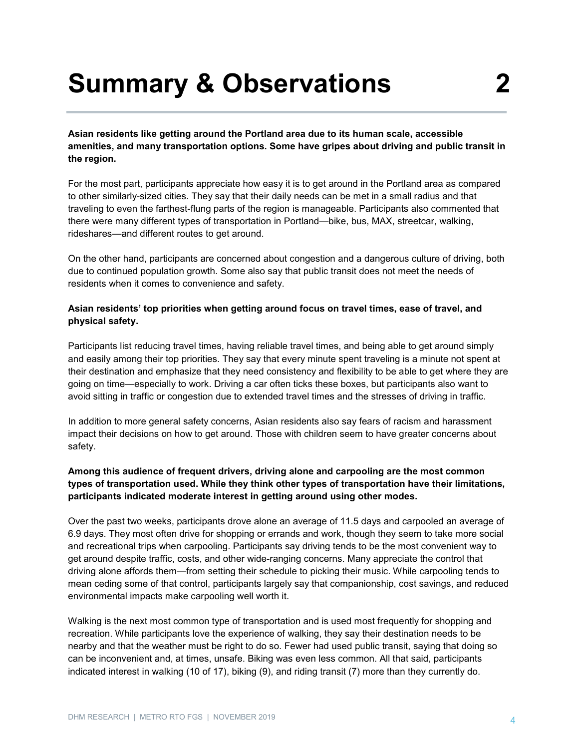# **Summary & Observations 2**

**Asian residents like getting around the Portland area due to its human scale, accessible amenities, and many transportation options. Some have gripes about driving and public transit in the region.**

For the most part, participants appreciate how easy it is to get around in the Portland area as compared to other similarly-sized cities. They say that their daily needs can be met in a small radius and that traveling to even the farthest-flung parts of the region is manageable. Participants also commented that there were many different types of transportation in Portland—bike, bus, MAX, streetcar, walking, rideshares—and different routes to get around.

On the other hand, participants are concerned about congestion and a dangerous culture of driving, both due to continued population growth. Some also say that public transit does not meet the needs of residents when it comes to convenience and safety.

# **Asian residents' top priorities when getting around focus on travel times, ease of travel, and physical safety.**

Participants list reducing travel times, having reliable travel times, and being able to get around simply and easily among their top priorities. They say that every minute spent traveling is a minute not spent at their destination and emphasize that they need consistency and flexibility to be able to get where they are going on time—especially to work. Driving a car often ticks these boxes, but participants also want to avoid sitting in traffic or congestion due to extended travel times and the stresses of driving in traffic.

In addition to more general safety concerns, Asian residents also say fears of racism and harassment impact their decisions on how to get around. Those with children seem to have greater concerns about safety.

# **Among this audience of frequent drivers, driving alone and carpooling are the most common types of transportation used. While they think other types of transportation have their limitations, participants indicated moderate interest in getting around using other modes.**

Over the past two weeks, participants drove alone an average of 11.5 days and carpooled an average of 6.9 days. They most often drive for shopping or errands and work, though they seem to take more social and recreational trips when carpooling. Participants say driving tends to be the most convenient way to get around despite traffic, costs, and other wide-ranging concerns. Many appreciate the control that driving alone affords them—from setting their schedule to picking their music. While carpooling tends to mean ceding some of that control, participants largely say that companionship, cost savings, and reduced environmental impacts make carpooling well worth it.

Walking is the next most common type of transportation and is used most frequently for shopping and recreation. While participants love the experience of walking, they say their destination needs to be nearby and that the weather must be right to do so. Fewer had used public transit, saying that doing so can be inconvenient and, at times, unsafe. Biking was even less common. All that said, participants indicated interest in walking (10 of 17), biking (9), and riding transit (7) more than they currently do.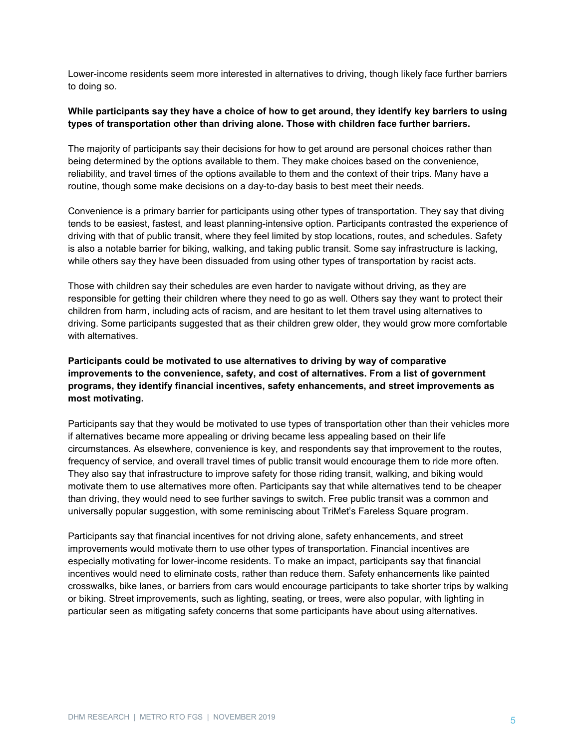Lower-income residents seem more interested in alternatives to driving, though likely face further barriers to doing so.

# **While participants say they have a choice of how to get around, they identify key barriers to using types of transportation other than driving alone. Those with children face further barriers.**

The majority of participants say their decisions for how to get around are personal choices rather than being determined by the options available to them. They make choices based on the convenience, reliability, and travel times of the options available to them and the context of their trips. Many have a routine, though some make decisions on a day-to-day basis to best meet their needs.

Convenience is a primary barrier for participants using other types of transportation. They say that diving tends to be easiest, fastest, and least planning-intensive option. Participants contrasted the experience of driving with that of public transit, where they feel limited by stop locations, routes, and schedules. Safety is also a notable barrier for biking, walking, and taking public transit. Some say infrastructure is lacking, while others say they have been dissuaded from using other types of transportation by racist acts.

Those with children say their schedules are even harder to navigate without driving, as they are responsible for getting their children where they need to go as well. Others say they want to protect their children from harm, including acts of racism, and are hesitant to let them travel using alternatives to driving. Some participants suggested that as their children grew older, they would grow more comfortable with alternatives.

# **Participants could be motivated to use alternatives to driving by way of comparative improvements to the convenience, safety, and cost of alternatives. From a list of government programs, they identify financial incentives, safety enhancements, and street improvements as most motivating.**

Participants say that they would be motivated to use types of transportation other than their vehicles more if alternatives became more appealing or driving became less appealing based on their life circumstances. As elsewhere, convenience is key, and respondents say that improvement to the routes, frequency of service, and overall travel times of public transit would encourage them to ride more often. They also say that infrastructure to improve safety for those riding transit, walking, and biking would motivate them to use alternatives more often. Participants say that while alternatives tend to be cheaper than driving, they would need to see further savings to switch. Free public transit was a common and universally popular suggestion, with some reminiscing about TriMet's Fareless Square program.

Participants say that financial incentives for not driving alone, safety enhancements, and street improvements would motivate them to use other types of transportation. Financial incentives are especially motivating for lower-income residents. To make an impact, participants say that financial incentives would need to eliminate costs, rather than reduce them. Safety enhancements like painted crosswalks, bike lanes, or barriers from cars would encourage participants to take shorter trips by walking or biking. Street improvements, such as lighting, seating, or trees, were also popular, with lighting in particular seen as mitigating safety concerns that some participants have about using alternatives.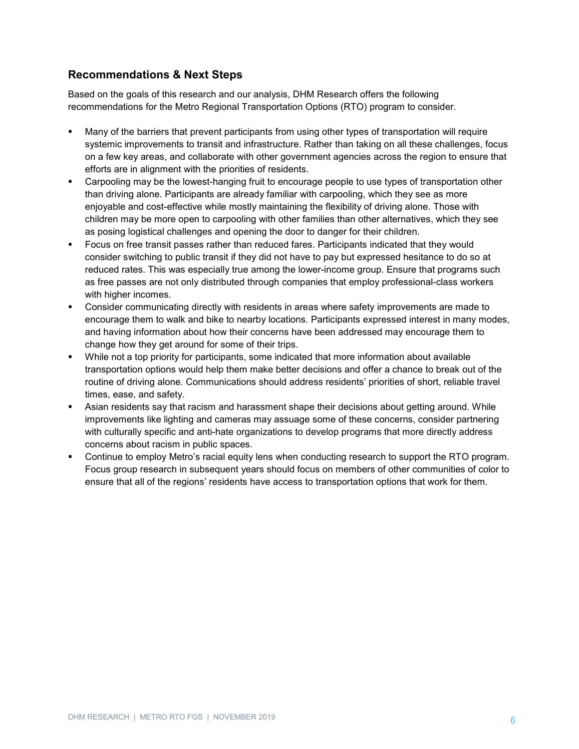# **Recommendations & Next Steps**

Based on the goals of this research and our analysis, DHM Research offers the following recommendations for the Metro Regional Transportation Options (RTO) program to consider.

- Many of the barriers that prevent participants from using other types of transportation will require systemic improvements to transit and infrastructure. Rather than taking on all these challenges, focus on a few key areas, and collaborate with other government agencies across the region to ensure that efforts are in alignment with the priorities of residents.
- Carpooling may be the lowest-hanging fruit to encourage people to use types of transportation other than driving alone. Participants are already familiar with carpooling, which they see as more enjoyable and cost-effective while mostly maintaining the flexibility of driving alone. Those with children may be more open to carpooling with other families than other alternatives, which they see as posing logistical challenges and opening the door to danger for their children.
- Focus on free transit passes rather than reduced fares. Participants indicated that they would consider switching to public transit if they did not have to pay but expressed hesitance to do so at reduced rates. This was especially true among the lower-income group. Ensure that programs such as free passes are not only distributed through companies that employ professional-class workers with higher incomes.
- Consider communicating directly with residents in areas where safety improvements are made to encourage them to walk and bike to nearby locations. Participants expressed interest in many modes, and having information about how their concerns have been addressed may encourage them to change how they get around for some of their trips.
- While not a top priority for participants, some indicated that more information about available transportation options would help them make better decisions and offer a chance to break out of the routine of driving alone. Communications should address residents' priorities of short, reliable travel times, ease, and safety.
- Asian residents say that racism and harassment shape their decisions about getting around. While improvements like lighting and cameras may assuage some of these concerns, consider partnering with culturally specific and anti-hate organizations to develop programs that more directly address concerns about racism in public spaces.
- Continue to employ Metro's racial equity lens when conducting research to support the RTO program. Focus group research in subsequent years should focus on members of other communities of color to ensure that all of the regions' residents have access to transportation options that work for them.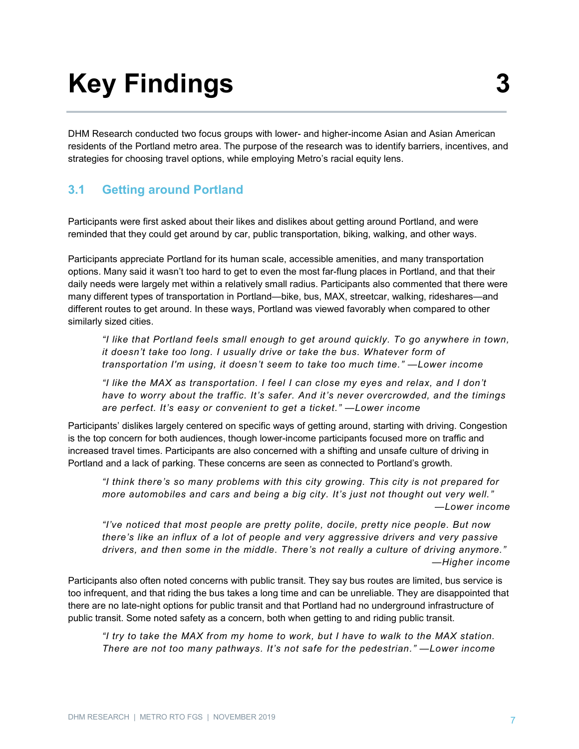# **Key Findings**

DHM Research conducted two focus groups with lower- and higher-income Asian and Asian American residents of the Portland metro area. The purpose of the research was to identify barriers, incentives, and strategies for choosing travel options, while employing Metro's racial equity lens.

# **3.1 Getting around Portland**

Participants were first asked about their likes and dislikes about getting around Portland, and were reminded that they could get around by car, public transportation, biking, walking, and other ways.

Participants appreciate Portland for its human scale, accessible amenities, and many transportation options. Many said it wasn't too hard to get to even the most far-flung places in Portland, and that their daily needs were largely met within a relatively small radius. Participants also commented that there were many different types of transportation in Portland—bike, bus, MAX, streetcar, walking, rideshares—and different routes to get around. In these ways, Portland was viewed favorably when compared to other similarly sized cities.

*"I like that Portland feels small enough to get around quickly. To go anywhere in town, it doesn't take too long. I usually drive or take the bus. Whatever form of transportation I'm using, it doesn't seem to take too much time." —Lower income*

*"I like the MAX as transportation. I feel I can close my eyes and relax, and I don't have to worry about the traffic. It's safer. And it's never overcrowded, and the timings are perfect. It's easy or convenient to get a ticket." —Lower income*

Participants' dislikes largely centered on specific ways of getting around, starting with driving. Congestion is the top concern for both audiences, though lower-income participants focused more on traffic and increased travel times. Participants are also concerned with a shifting and unsafe culture of driving in Portland and a lack of parking. These concerns are seen as connected to Portland's growth.

*"I think there's so many problems with this city growing. This city is not prepared for more automobiles and cars and being a big city. It's just not thought out very well." —Lower income*

*"I've noticed that most people are pretty polite, docile, pretty nice people. But now there's like an influx of a lot of people and very aggressive drivers and very passive drivers, and then some in the middle. There's not really a culture of driving anymore." —Higher income*

Participants also often noted concerns with public transit. They say bus routes are limited, bus service is too infrequent, and that riding the bus takes a long time and can be unreliable. They are disappointed that there are no late-night options for public transit and that Portland had no underground infrastructure of public transit. Some noted safety as a concern, both when getting to and riding public transit.

*"I try to take the MAX from my home to work, but I have to walk to the MAX station. There are not too many pathways. It's not safe for the pedestrian." —Lower income*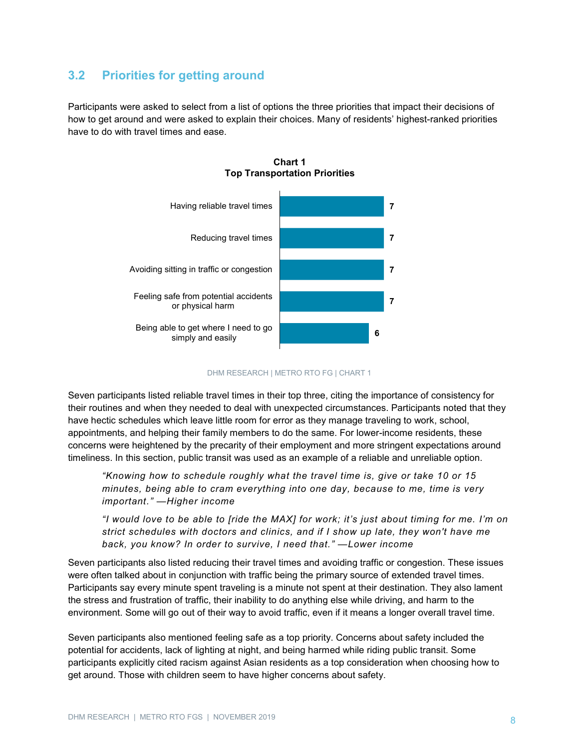# **3.2 Priorities for getting around**

Participants were asked to select from a list of options the three priorities that impact their decisions of how to get around and were asked to explain their choices. Many of residents' highest-ranked priorities have to do with travel times and ease.



**Chart 1 Top Transportation Priorities**

#### DHM RESEARCH | METRO RTO FG | CHART 1

Seven participants listed reliable travel times in their top three, citing the importance of consistency for their routines and when they needed to deal with unexpected circumstances. Participants noted that they have hectic schedules which leave little room for error as they manage traveling to work, school, appointments, and helping their family members to do the same. For lower-income residents, these concerns were heightened by the precarity of their employment and more stringent expectations around timeliness. In this section, public transit was used as an example of a reliable and unreliable option.

*"Knowing how to schedule roughly what the travel time is, give or take 10 or 15 minutes, being able to cram everything into one day, because to me, time is very important." —Higher income*

*"I would love to be able to [ride the MAX] for work; it's just about timing for me. I'm on strict schedules with doctors and clinics, and if I show up late, they won't have me back, you know? In order to survive, I need that." —Lower income*

Seven participants also listed reducing their travel times and avoiding traffic or congestion. These issues were often talked about in conjunction with traffic being the primary source of extended travel times. Participants say every minute spent traveling is a minute not spent at their destination. They also lament the stress and frustration of traffic, their inability to do anything else while driving, and harm to the environment. Some will go out of their way to avoid traffic, even if it means a longer overall travel time.

Seven participants also mentioned feeling safe as a top priority. Concerns about safety included the potential for accidents, lack of lighting at night, and being harmed while riding public transit. Some participants explicitly cited racism against Asian residents as a top consideration when choosing how to get around. Those with children seem to have higher concerns about safety.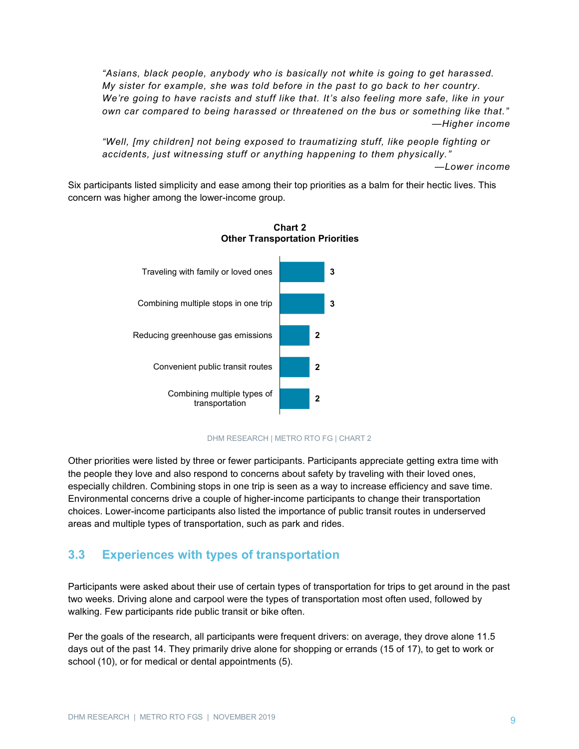*"Asians, black people, anybody who is basically not white is going to get harassed. My sister for example, she was told before in the past to go back to her country. We're going to have racists and stuff like that. It's also feeling more safe, like in your own car compared to being harassed or threatened on the bus or something like that." —Higher income*

*"Well, [my children] not being exposed to traumatizing stuff, like people fighting or accidents, just witnessing stuff or anything happening to them physically."*

*—Lower income*

Six participants listed simplicity and ease among their top priorities as a balm for their hectic lives. This concern was higher among the lower-income group.





#### DHM RESEARCH | METRO RTO FG | CHART 2

Other priorities were listed by three or fewer participants. Participants appreciate getting extra time with the people they love and also respond to concerns about safety by traveling with their loved ones, especially children. Combining stops in one trip is seen as a way to increase efficiency and save time. Environmental concerns drive a couple of higher-income participants to change their transportation choices. Lower-income participants also listed the importance of public transit routes in underserved areas and multiple types of transportation, such as park and rides.

# **3.3 Experiences with types of transportation**

Participants were asked about their use of certain types of transportation for trips to get around in the past two weeks. Driving alone and carpool were the types of transportation most often used, followed by walking. Few participants ride public transit or bike often.

Per the goals of the research, all participants were frequent drivers: on average, they drove alone 11.5 days out of the past 14. They primarily drive alone for shopping or errands (15 of 17), to get to work or school (10), or for medical or dental appointments (5).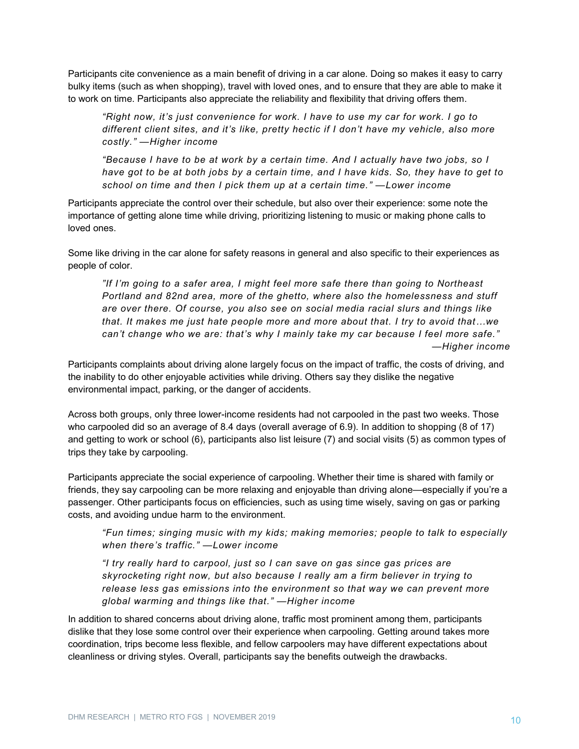Participants cite convenience as a main benefit of driving in a car alone. Doing so makes it easy to carry bulky items (such as when shopping), travel with loved ones, and to ensure that they are able to make it to work on time. Participants also appreciate the reliability and flexibility that driving offers them.

*"Right now, it's just convenience for work. I have to use my car for work. I go to different client sites, and it's like, pretty hectic if I don't have my vehicle, also more costly." —Higher income*

*"Because I have to be at work by a certain time. And I actually have two jobs, so I have got to be at both jobs by a certain time, and I have kids. So, they have to get to school on time and then I pick them up at a certain time." —Lower income*

Participants appreciate the control over their schedule, but also over their experience: some note the importance of getting alone time while driving, prioritizing listening to music or making phone calls to loved ones.

Some like driving in the car alone for safety reasons in general and also specific to their experiences as people of color.

*"If I'm going to a safer area, I might feel more safe there than going to Northeast Portland and 82nd area, more of the ghetto, where also the homelessness and stuff are over there. Of course, you also see on social media racial slurs and things like that. It makes me just hate people more and more about that. I try to avoid that…we can't change who we are: that's why I mainly take my car because I feel more safe." —Higher income*

Participants complaints about driving alone largely focus on the impact of traffic, the costs of driving, and the inability to do other enjoyable activities while driving. Others say they dislike the negative environmental impact, parking, or the danger of accidents.

Across both groups, only three lower-income residents had not carpooled in the past two weeks. Those who carpooled did so an average of 8.4 days (overall average of 6.9). In addition to shopping (8 of 17) and getting to work or school (6), participants also list leisure (7) and social visits (5) as common types of trips they take by carpooling.

Participants appreciate the social experience of carpooling. Whether their time is shared with family or friends, they say carpooling can be more relaxing and enjoyable than driving alone—especially if you're a passenger. Other participants focus on efficiencies, such as using time wisely, saving on gas or parking costs, and avoiding undue harm to the environment.

*"Fun times; singing music with my kids; making memories; people to talk to especially when there's traffic." —Lower income*

*"I try really hard to carpool, just so I can save on gas since gas prices are skyrocketing right now, but also because I really am a firm believer in trying to release less gas emissions into the environment so that way we can prevent more global warming and things like that." —Higher income*

In addition to shared concerns about driving alone, traffic most prominent among them, participants dislike that they lose some control over their experience when carpooling. Getting around takes more coordination, trips become less flexible, and fellow carpoolers may have different expectations about cleanliness or driving styles. Overall, participants say the benefits outweigh the drawbacks.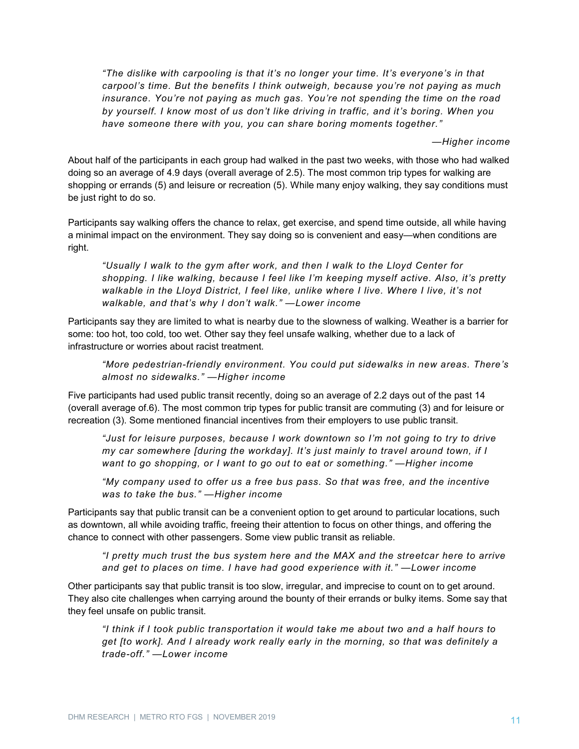*"The dislike with carpooling is that it's no longer your time. It's everyone's in that carpool's time. But the benefits I think outweigh, because you're not paying as much insurance. You're not paying as much gas. You're not spending the time on the road by yourself. I know most of us don't like driving in traffic, and it's boring. When you have someone there with you, you can share boring moments together."*

*—Higher income*

About half of the participants in each group had walked in the past two weeks, with those who had walked doing so an average of 4.9 days (overall average of 2.5). The most common trip types for walking are shopping or errands (5) and leisure or recreation (5). While many enjoy walking, they say conditions must be just right to do so.

Participants say walking offers the chance to relax, get exercise, and spend time outside, all while having a minimal impact on the environment. They say doing so is convenient and easy—when conditions are right.

*"Usually I walk to the gym after work, and then I walk to the Lloyd Center for shopping. I like walking, because I feel like I'm keeping myself active. Also, it's pretty walkable in the Lloyd District, I feel like, unlike where I live. Where I live, it's not walkable, and that's why I don't walk." —Lower income*

Participants say they are limited to what is nearby due to the slowness of walking. Weather is a barrier for some: too hot, too cold, too wet. Other say they feel unsafe walking, whether due to a lack of infrastructure or worries about racist treatment.

*"More pedestrian-friendly environment. You could put sidewalks in new areas. There's almost no sidewalks." —Higher income*

Five participants had used public transit recently, doing so an average of 2.2 days out of the past 14 (overall average of.6). The most common trip types for public transit are commuting (3) and for leisure or recreation (3). Some mentioned financial incentives from their employers to use public transit.

*"Just for leisure purposes, because I work downtown so I'm not going to try to drive my car somewhere [during the workday]. It's just mainly to travel around town, if I want to go shopping, or I want to go out to eat or something." —Higher income*

*"My company used to offer us a free bus pass. So that was free, and the incentive was to take the bus." —Higher income*

Participants say that public transit can be a convenient option to get around to particular locations, such as downtown, all while avoiding traffic, freeing their attention to focus on other things, and offering the chance to connect with other passengers. Some view public transit as reliable.

*"I pretty much trust the bus system here and the MAX and the streetcar here to arrive and get to places on time. I have had good experience with it." —Lower income*

Other participants say that public transit is too slow, irregular, and imprecise to count on to get around. They also cite challenges when carrying around the bounty of their errands or bulky items. Some say that they feel unsafe on public transit.

*"I think if I took public transportation it would take me about two and a half hours to get [to work]. And I already work really early in the morning, so that was definitely a trade-off." —Lower income*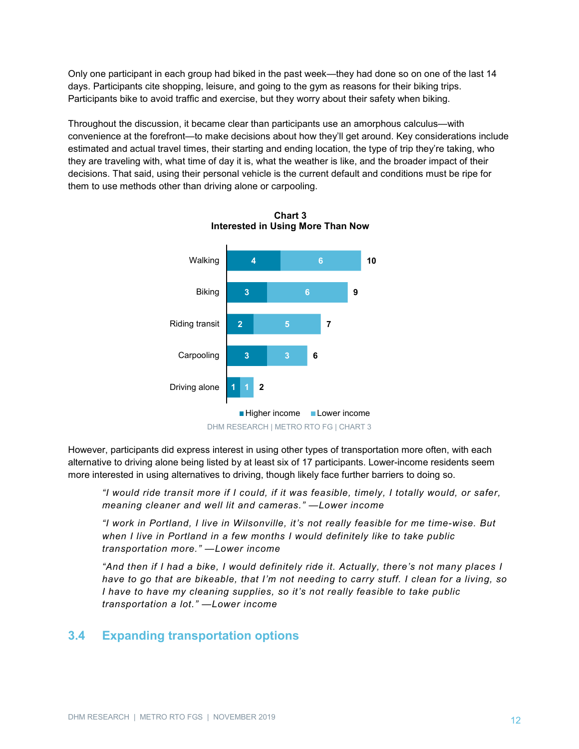Only one participant in each group had biked in the past week—they had done so on one of the last 14 days. Participants cite shopping, leisure, and going to the gym as reasons for their biking trips. Participants bike to avoid traffic and exercise, but they worry about their safety when biking.

Throughout the discussion, it became clear than participants use an amorphous calculus—with convenience at the forefront—to make decisions about how they'll get around. Key considerations include estimated and actual travel times, their starting and ending location, the type of trip they're taking, who they are traveling with, what time of day it is, what the weather is like, and the broader impact of their decisions. That said, using their personal vehicle is the current default and conditions must be ripe for them to use methods other than driving alone or carpooling.



**Chart 3 Interested in Using More Than Now**

However, participants did express interest in using other types of transportation more often, with each alternative to driving alone being listed by at least six of 17 participants. Lower-income residents seem more interested in using alternatives to driving, though likely face further barriers to doing so.

*"I would ride transit more if I could, if it was feasible, timely, I totally would, or safer, meaning cleaner and well lit and cameras." —Lower income*

*"I work in Portland, I live in Wilsonville, it's not really feasible for me time-wise. But when I live in Portland in a few months I would definitely like to take public transportation more." —Lower income*

*"And then if I had a bike, I would definitely ride it. Actually, there's not many places I have to go that are bikeable, that I'm not needing to carry stuff. I clean for a living, so I have to have my cleaning supplies, so it's not really feasible to take public transportation a lot." —Lower income*

# **3.4 Expanding transportation options**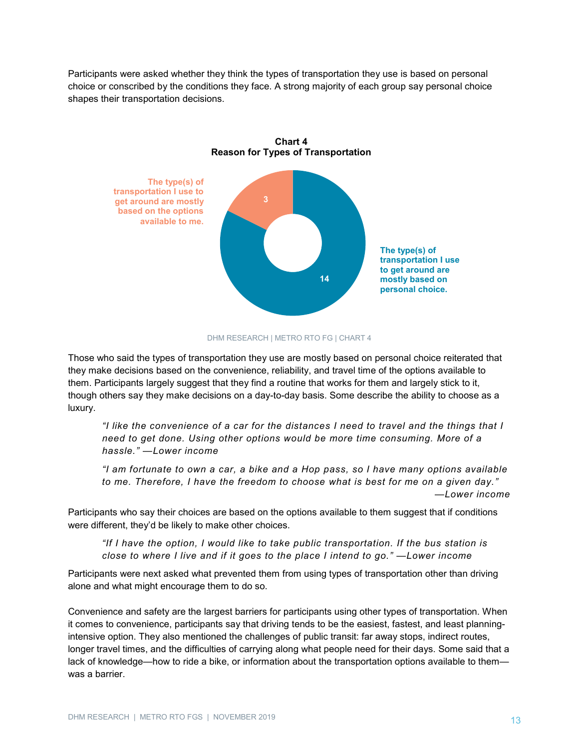Participants were asked whether they think the types of transportation they use is based on personal choice or conscribed by the conditions they face. A strong majority of each group say personal choice shapes their transportation decisions.





#### DHM RESEARCH | METRO RTO FG | CHART 4

Those who said the types of transportation they use are mostly based on personal choice reiterated that they make decisions based on the convenience, reliability, and travel time of the options available to them. Participants largely suggest that they find a routine that works for them and largely stick to it, though others say they make decisions on a day-to-day basis. Some describe the ability to choose as a luxury.

*"I like the convenience of a car for the distances I need to travel and the things that I need to get done. Using other options would be more time consuming. More of a hassle." —Lower income*

*"I am fortunate to own a car, a bike and a Hop pass, so I have many options available to me. Therefore, I have the freedom to choose what is best for me on a given day." —Lower income*

Participants who say their choices are based on the options available to them suggest that if conditions were different, they'd be likely to make other choices.

*"If I have the option, I would like to take public transportation. If the bus station is close to where I live and if it goes to the place I intend to go." —Lower income*

Participants were next asked what prevented them from using types of transportation other than driving alone and what might encourage them to do so.

Convenience and safety are the largest barriers for participants using other types of transportation. When it comes to convenience, participants say that driving tends to be the easiest, fastest, and least planningintensive option. They also mentioned the challenges of public transit: far away stops, indirect routes, longer travel times, and the difficulties of carrying along what people need for their days. Some said that a lack of knowledge—how to ride a bike, or information about the transportation options available to them was a barrier.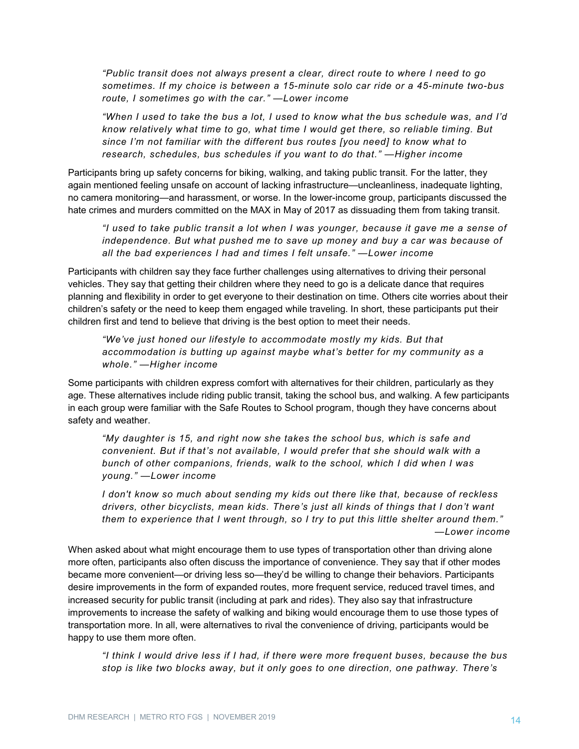*"Public transit does not always present a clear, direct route to where I need to go sometimes. If my choice is between a 15-minute solo car ride or a 45-minute two-bus route, I sometimes go with the car." —Lower income*

*"When I used to take the bus a lot, I used to know what the bus schedule was, and I'd know relatively what time to go, what time I would get there, so reliable timing. But since I'm not familiar with the different bus routes [you need] to know what to research, schedules, bus schedules if you want to do that." —Higher income*

Participants bring up safety concerns for biking, walking, and taking public transit. For the latter, they again mentioned feeling unsafe on account of lacking infrastructure—uncleanliness, inadequate lighting, no camera monitoring—and harassment, or worse. In the lower-income group, participants discussed the hate crimes and murders committed on the MAX in May of 2017 as dissuading them from taking transit.

*"I used to take public transit a lot when I was younger, because it gave me a sense of independence. But what pushed me to save up money and buy a car was because of all the bad experiences I had and times I felt unsafe." —Lower income*

Participants with children say they face further challenges using alternatives to driving their personal vehicles. They say that getting their children where they need to go is a delicate dance that requires planning and flexibility in order to get everyone to their destination on time. Others cite worries about their children's safety or the need to keep them engaged while traveling. In short, these participants put their children first and tend to believe that driving is the best option to meet their needs.

*"We've just honed our lifestyle to accommodate mostly my kids. But that accommodation is butting up against maybe what's better for my community as a whole." —Higher income*

Some participants with children express comfort with alternatives for their children, particularly as they age. These alternatives include riding public transit, taking the school bus, and walking. A few participants in each group were familiar with the Safe Routes to School program, though they have concerns about safety and weather.

*"My daughter is 15, and right now she takes the school bus, which is safe and convenient. But if that's not available, I would prefer that she should walk with a bunch of other companions, friends, walk to the school, which I did when I was young." —Lower income*

*I don't know so much about sending my kids out there like that, because of reckless drivers, other bicyclists, mean kids. There's just all kinds of things that I don't want them to experience that I went through, so I try to put this little shelter around them." —Lower income*

When asked about what might encourage them to use types of transportation other than driving alone more often, participants also often discuss the importance of convenience. They say that if other modes became more convenient—or driving less so—they'd be willing to change their behaviors. Participants desire improvements in the form of expanded routes, more frequent service, reduced travel times, and increased security for public transit (including at park and rides). They also say that infrastructure improvements to increase the safety of walking and biking would encourage them to use those types of transportation more. In all, were alternatives to rival the convenience of driving, participants would be happy to use them more often.

*"I think I would drive less if I had, if there were more frequent buses, because the bus stop is like two blocks away, but it only goes to one direction, one pathway. There's*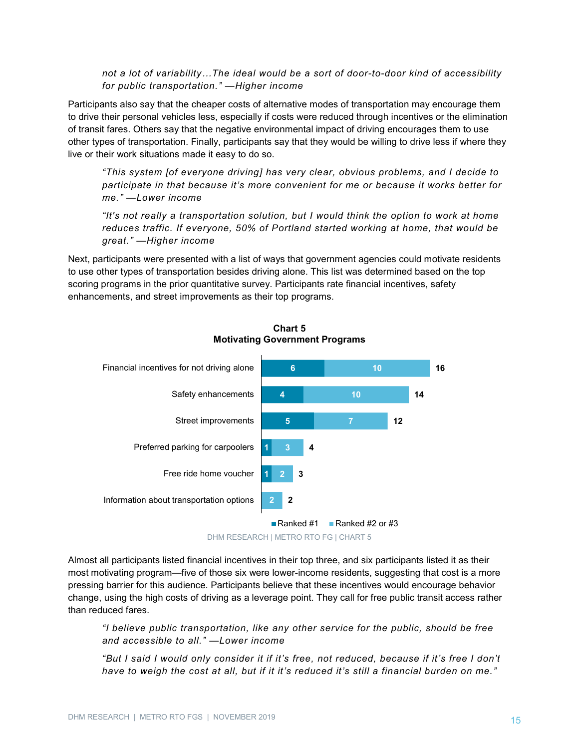*not a lot of variability…The ideal would be a sort of door-to-door kind of accessibility for public transportation." —Higher income*

Participants also say that the cheaper costs of alternative modes of transportation may encourage them to drive their personal vehicles less, especially if costs were reduced through incentives or the elimination of transit fares. Others say that the negative environmental impact of driving encourages them to use other types of transportation. Finally, participants say that they would be willing to drive less if where they live or their work situations made it easy to do so.

*"This system [of everyone driving] has very clear, obvious problems, and I decide to participate in that because it's more convenient for me or because it works better for me." —Lower income*

*"It's not really a transportation solution, but I would think the option to work at home reduces traffic. If everyone, 50% of Portland started working at home, that would be great." —Higher income*

Next, participants were presented with a list of ways that government agencies could motivate residents to use other types of transportation besides driving alone. This list was determined based on the top scoring programs in the prior quantitative survey. Participants rate financial incentives, safety enhancements, and street improvements as their top programs.





DHM RESEARCH | METRO RTO FG | CHART 5

Almost all participants listed financial incentives in their top three, and six participants listed it as their most motivating program—five of those six were lower-income residents, suggesting that cost is a more pressing barrier for this audience. Participants believe that these incentives would encourage behavior change, using the high costs of driving as a leverage point. They call for free public transit access rather than reduced fares.

*"I believe public transportation, like any other service for the public, should be free and accessible to all." —Lower income*

*"But I said I would only consider it if it's free, not reduced, because if it's free I don't have to weigh the cost at all, but if it it's reduced it's still a financial burden on me."*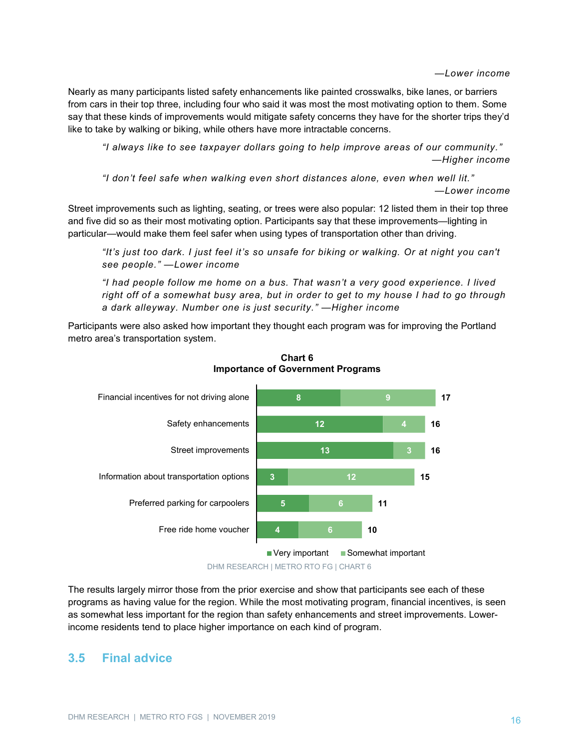#### *—Lower income*

Nearly as many participants listed safety enhancements like painted crosswalks, bike lanes, or barriers from cars in their top three, including four who said it was most the most motivating option to them. Some say that these kinds of improvements would mitigate safety concerns they have for the shorter trips they'd like to take by walking or biking, while others have more intractable concerns.

*"I always like to see taxpayer dollars going to help improve areas of our community." —Higher income*

*"I don't feel safe when walking even short distances alone, even when well lit." —Lower income*

Street improvements such as lighting, seating, or trees were also popular: 12 listed them in their top three and five did so as their most motivating option. Participants say that these improvements—lighting in particular—would make them feel safer when using types of transportation other than driving.

*"It's just too dark. I just feel it's so unsafe for biking or walking. Or at night you can't see people." —Lower income*

*"I had people follow me home on a bus. That wasn't a very good experience. I lived right off of a somewhat busy area, but in order to get to my house I had to go through a dark alleyway. Number one is just security." —Higher income*

Participants were also asked how important they thought each program was for improving the Portland metro area's transportation system.



**Chart 6 Importance of Government Programs**

DHM RESEARCH | METRO RTO FG | CHART 6

The results largely mirror those from the prior exercise and show that participants see each of these programs as having value for the region. While the most motivating program, financial incentives, is seen as somewhat less important for the region than safety enhancements and street improvements. Lowerincome residents tend to place higher importance on each kind of program.

# **3.5 Final advice**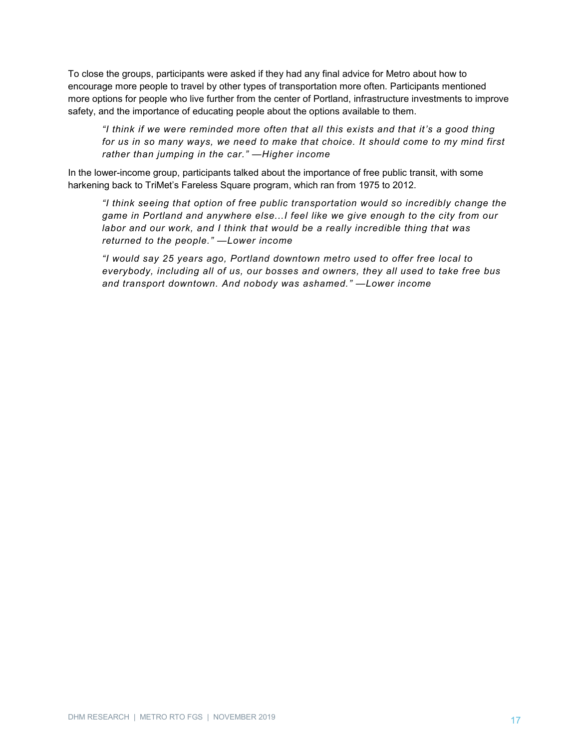To close the groups, participants were asked if they had any final advice for Metro about how to encourage more people to travel by other types of transportation more often. Participants mentioned more options for people who live further from the center of Portland, infrastructure investments to improve safety, and the importance of educating people about the options available to them.

*"I think if we were reminded more often that all this exists and that it's a good thing for us in so many ways, we need to make that choice. It should come to my mind first rather than jumping in the car." —Higher income*

In the lower-income group, participants talked about the importance of free public transit, with some harkening back to TriMet's Fareless Square program, which ran from 1975 to 2012.

*"I think seeing that option of free public transportation would so incredibly change the game in Portland and anywhere else...I feel like we give enough to the city from our labor and our work, and I think that would be a really incredible thing that was returned to the people." —Lower income*

*"I would say 25 years ago, Portland downtown metro used to offer free local to everybody, including all of us, our bosses and owners, they all used to take free bus and transport downtown. And nobody was ashamed." —Lower income*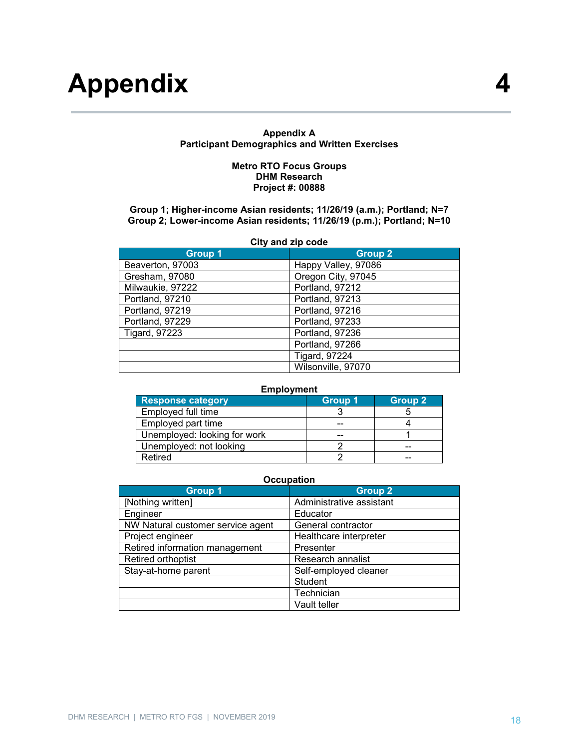# **Appendix 4**

#### **Appendix A Participant Demographics and Written Exercises**

#### **Metro RTO Focus Groups DHM Research Project #: 00888**

#### **Group 1; Higher-income Asian residents; 11/26/19 (a.m.); Portland; N=7 Group 2; Lower-income Asian residents; 11/26/19 (p.m.); Portland; N=10**

| City and zip code    |                      |  |  |
|----------------------|----------------------|--|--|
| <b>Group 1</b>       | <b>Group 2</b>       |  |  |
| Beaverton, 97003     | Happy Valley, 97086  |  |  |
| Gresham, 97080       | Oregon City, 97045   |  |  |
| Milwaukie, 97222     | Portland, 97212      |  |  |
| Portland, 97210      | Portland, 97213      |  |  |
| Portland, 97219      | Portland, 97216      |  |  |
| Portland, 97229      | Portland, 97233      |  |  |
| <b>Tigard, 97223</b> | Portland, 97236      |  |  |
|                      | Portland, 97266      |  |  |
|                      | <b>Tigard, 97224</b> |  |  |
|                      | Wilsonville, 97070   |  |  |

#### **Employment**

| <b>Response category</b>     | <b>Group 1</b> | <b>Group 2</b> |
|------------------------------|----------------|----------------|
| Employed full time           |                |                |
| Employed part time           |                |                |
| Unemployed: looking for work | --             |                |
| Unemployed: not looking      |                | --             |
| Retired                      |                | --             |

#### **Occupation**

| <b>Group 1</b>                    | <b>Group 2</b>           |
|-----------------------------------|--------------------------|
| [Nothing written]                 | Administrative assistant |
| Engineer                          | Educator                 |
| NW Natural customer service agent | General contractor       |
| Project engineer                  | Healthcare interpreter   |
| Retired information management    | Presenter                |
| Retired orthoptist                | Research annalist        |
| Stay-at-home parent               | Self-employed cleaner    |
|                                   | <b>Student</b>           |
|                                   | Technician               |
|                                   | Vault teller             |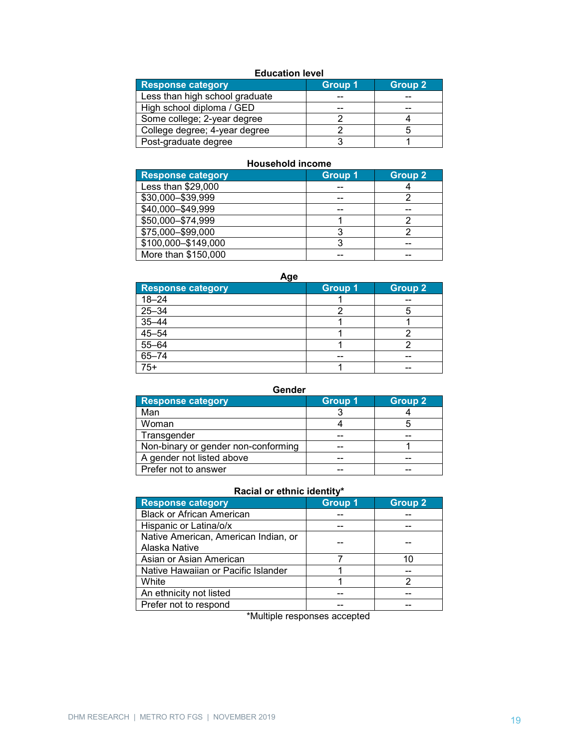# **Education level**

| <b>Response category</b>       | Group 1 | <b>Group 2</b> |
|--------------------------------|---------|----------------|
| Less than high school graduate | --      |                |
| High school diploma / GED      | --      | --             |
| Some college; 2-year degree    |         |                |
| College degree; 4-year degree  |         |                |
| Post-graduate degree           |         |                |

#### **Household income**

| <b>Response category</b> | <b>Group 1</b> | Group 2 |
|--------------------------|----------------|---------|
| Less than \$29,000       | --             |         |
| \$30,000-\$39,999        | --             |         |
| \$40,000-\$49,999        |                |         |
| \$50,000-\$74,999        |                |         |
| \$75,000-\$99,000        | 3              |         |
| \$100,000-\$149,000      |                | --      |
| More than \$150,000      |                |         |

**Age**

| <b>Response category</b>                                                          | <b>Group 1</b> | <b>Group 2</b> |
|-----------------------------------------------------------------------------------|----------------|----------------|
| $18 - 24$                                                                         |                | --             |
| $25 - 34$                                                                         |                |                |
|                                                                                   |                |                |
|                                                                                   |                |                |
| $\frac{28844}{35 - 44}$<br>$\frac{45 - 54}{55 - 64}$<br>$\frac{55 - 64}{65 - 74}$ |                |                |
|                                                                                   | --             | --             |
| $75+$                                                                             |                | --             |

# **Gender**

| <b>Response category</b>            | <b>Group 1</b> | <b>Group 2</b> |
|-------------------------------------|----------------|----------------|
| Man                                 |                |                |
| Woman                               |                |                |
| Transgender                         |                | --             |
| Non-binary or gender non-conforming |                |                |
| A gender not listed above           |                | --             |
| Prefer not to answer                |                |                |

# **Racial or ethnic identity\***

| <b>Response category</b>             | <b>Group 1</b> | <b>Group 2</b> |
|--------------------------------------|----------------|----------------|
| <b>Black or African American</b>     |                |                |
| Hispanic or Latina/o/x               |                |                |
| Native American, American Indian, or |                |                |
| Alaska Native                        |                |                |
| Asian or Asian American              |                | 10             |
| Native Hawaiian or Pacific Islander  |                |                |
| White                                |                | 2              |
| An ethnicity not listed              |                |                |
| Prefer not to respond                |                |                |

\*Multiple responses accepted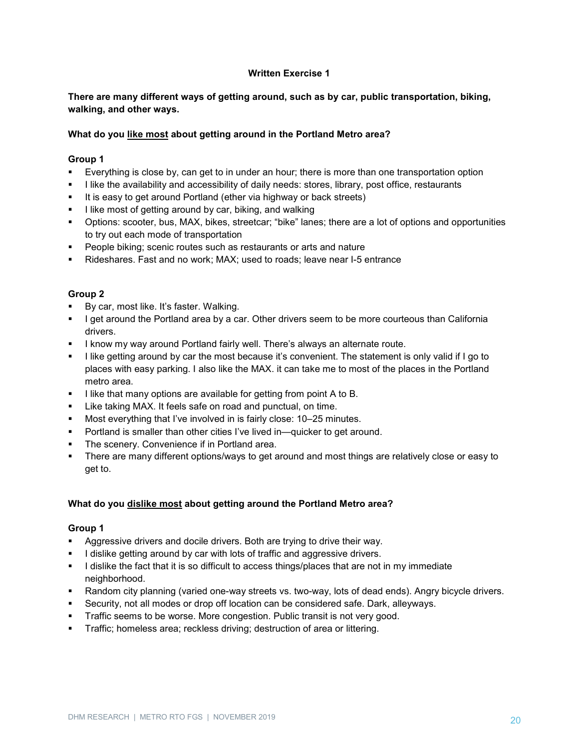# **Written Exercise 1**

# **There are many different ways of getting around, such as by car, public transportation, biking, walking, and other ways.**

# **What do you like most about getting around in the Portland Metro area?**

# **Group 1**

- Everything is close by, can get to in under an hour; there is more than one transportation option
- I like the availability and accessibility of daily needs: stores, library, post office, restaurants
- It is easy to get around Portland (ether via highway or back streets)
- I like most of getting around by car, biking, and walking
- Options: scooter, bus, MAX, bikes, streetcar; "bike" lanes; there are a lot of options and opportunities to try out each mode of transportation
- **People biking; scenic routes such as restaurants or arts and nature**
- Rideshares. Fast and no work; MAX; used to roads; leave near I-5 entrance

# **Group 2**

- By car, most like. It's faster. Walking.
- **I get around the Portland area by a car. Other drivers seem to be more courteous than California** drivers.
- **I know my way around Portland fairly well. There's always an alternate route.**
- I like getting around by car the most because it's convenient. The statement is only valid if I go to places with easy parking. I also like the MAX. it can take me to most of the places in the Portland metro area.
- I like that many options are available for getting from point A to B.
- **EXECT** Like taking MAX. It feels safe on road and punctual, on time.
- Most everything that I've involved in is fairly close: 10–25 minutes.
- **Portland is smaller than other cities I've lived in—quicker to get around.**
- The scenery. Convenience if in Portland area.
- There are many different options/ways to get around and most things are relatively close or easy to get to.

# **What do you dislike most about getting around the Portland Metro area?**

- Aggressive drivers and docile drivers. Both are trying to drive their way.
- I dislike getting around by car with lots of traffic and aggressive drivers.
- I dislike the fact that it is so difficult to access things/places that are not in my immediate neighborhood.
- Random city planning (varied one-way streets vs. two-way, lots of dead ends). Angry bicycle drivers.
- Security, not all modes or drop off location can be considered safe. Dark, alleyways.
- Traffic seems to be worse. More congestion. Public transit is not very good.
- **Traffic; homeless area; reckless driving; destruction of area or littering.**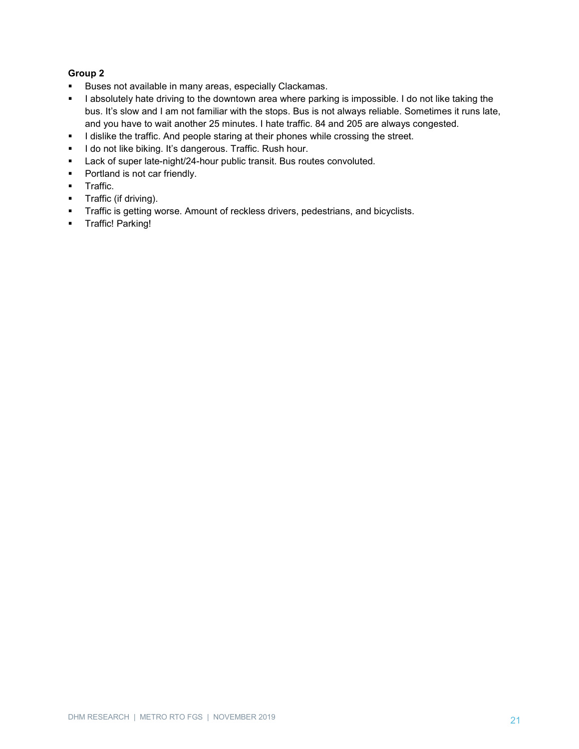- **Buses not available in many areas, especially Clackamas.**
- I absolutely hate driving to the downtown area where parking is impossible. I do not like taking the bus. It's slow and I am not familiar with the stops. Bus is not always reliable. Sometimes it runs late, and you have to wait another 25 minutes. I hate traffic. 84 and 205 are always congested.
- I dislike the traffic. And people staring at their phones while crossing the street.
- **I do not like biking. It's dangerous. Traffic. Rush hour.**
- **Lack of super late-night/24-hour public transit. Bus routes convoluted.**
- Portland is not car friendly.
- **Traffic.**
- **Traffic (if driving).**
- **Traffic is getting worse. Amount of reckless drivers, pedestrians, and bicyclists.**
- **Traffic! Parking!**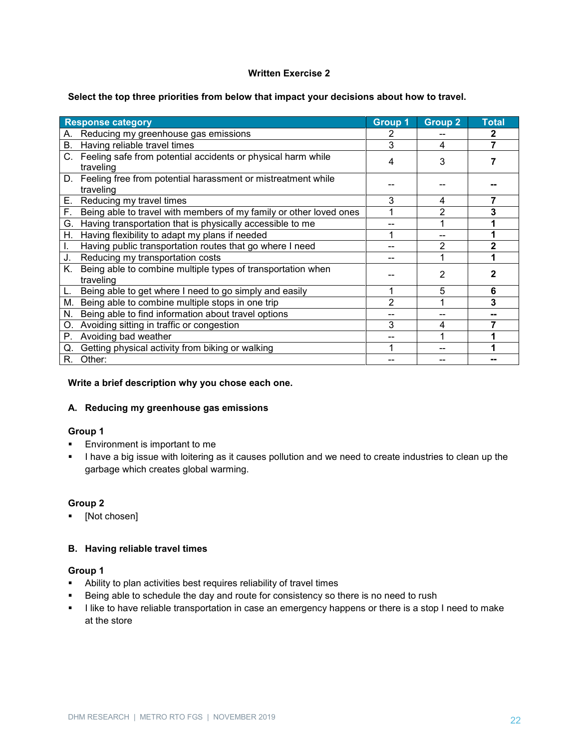#### **Written Exercise 2**

#### **Select the top three priorities from below that impact your decisions about how to travel.**

|                  | <b>Response category</b>                                                     | <b>Group 1</b> | <b>Group 2</b> | <b>Total</b> |
|------------------|------------------------------------------------------------------------------|----------------|----------------|--------------|
| А.               | Reducing my greenhouse gas emissions                                         |                |                | 2            |
|                  | B. Having reliable travel times                                              |                | 4              |              |
|                  | C. Feeling safe from potential accidents or physical harm while<br>traveling | 4              | 3              |              |
|                  | D. Feeling free from potential harassment or mistreatment while<br>traveling |                |                |              |
| Е.               | Reducing my travel times                                                     |                | 4              |              |
| $\overline{F}$ . | Being able to travel with members of my family or other loved ones           |                | 2              | 3            |
|                  | G. Having transportation that is physically accessible to me                 |                |                |              |
| Η.               | Having flexibility to adapt my plans if needed                               |                |                |              |
| I.               | Having public transportation routes that go where I need                     |                | 2              |              |
| J.               | Reducing my transportation costs                                             |                |                |              |
| Κ.               | Being able to combine multiple types of transportation when<br>traveling     |                | 2              |              |
| L.               | Being able to get where I need to go simply and easily                       |                | 5              | 6            |
| М.               | Being able to combine multiple stops in one trip                             | 2              |                | 3            |
| N.               | Being able to find information about travel options                          |                |                |              |
| О.               | Avoiding sitting in traffic or congestion                                    | 3              | 4              |              |
| Ρ.               | Avoiding bad weather                                                         |                |                |              |
| Q.               | Getting physical activity from biking or walking                             |                |                |              |
| R.               | Other:                                                                       |                |                |              |

#### **Write a brief description why you chose each one.**

#### **A. Reducing my greenhouse gas emissions**

#### **Group 1**

- **Environment is important to me**
- I have a big issue with loitering as it causes pollution and we need to create industries to clean up the garbage which creates global warming.

# **Group 2**

[Not chosen]

# **B. Having reliable travel times**

- Ability to plan activities best requires reliability of travel times
- **Being able to schedule the day and route for consistency so there is no need to rush**
- I like to have reliable transportation in case an emergency happens or there is a stop I need to make at the store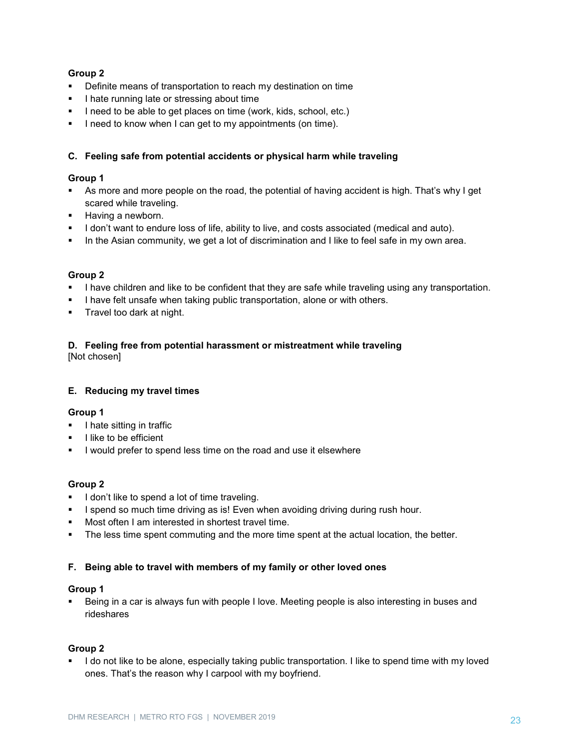# **Group 2**

- **•** Definite means of transportation to reach my destination on time
- **I** hate running late or stressing about time
- I need to be able to get places on time (work, kids, school, etc.)
- I need to know when I can get to my appointments (on time).

# **C. Feeling safe from potential accidents or physical harm while traveling**

# **Group 1**

- As more and more people on the road, the potential of having accident is high. That's why I get scared while traveling.
- **Having a newborn.**
- **I** don't want to endure loss of life, ability to live, and costs associated (medical and auto).
- In the Asian community, we get a lot of discrimination and I like to feel safe in my own area.

# **Group 2**

- I have children and like to be confident that they are safe while traveling using any transportation.
- I have felt unsafe when taking public transportation, alone or with others.
- **Travel too dark at night.**

#### **D. Feeling free from potential harassment or mistreatment while traveling** [Not chosen]

# **E. Reducing my travel times**

# **Group 1**

- **I** l hate sitting in traffic
- $\blacksquare$  I like to be efficient
- I would prefer to spend less time on the road and use it elsewhere

# **Group 2**

- I don't like to spend a lot of time traveling.
- I spend so much time driving as is! Even when avoiding driving during rush hour.
- Most often I am interested in shortest travel time.
- The less time spent commuting and the more time spent at the actual location, the better.

# **F. Being able to travel with members of my family or other loved ones**

# **Group 1**

 Being in a car is always fun with people I love. Meeting people is also interesting in buses and rideshares

# **Group 2**

I do not like to be alone, especially taking public transportation. I like to spend time with my loved ones. That's the reason why I carpool with my boyfriend.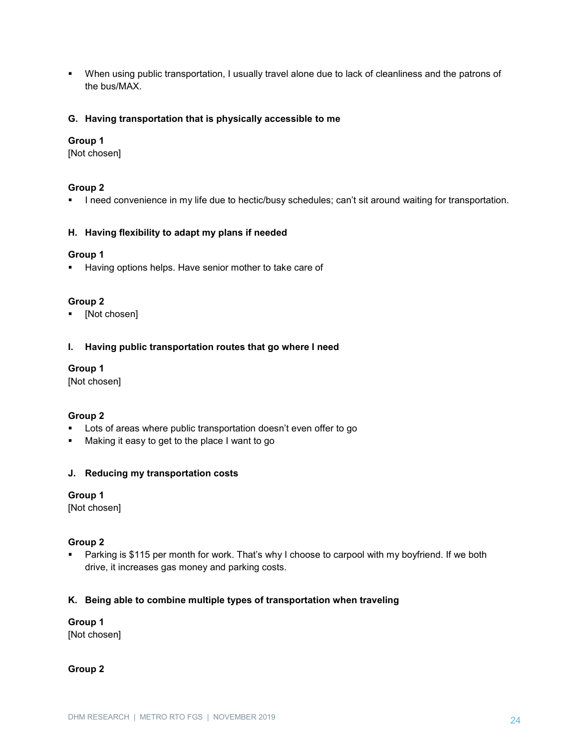When using public transportation, I usually travel alone due to lack of cleanliness and the patrons of the bus/MAX.

#### **G. Having transportation that is physically accessible to me**

#### **Group 1**

[Not chosen]

#### **Group 2**

**I** need convenience in my life due to hectic/busy schedules; can't sit around waiting for transportation.

#### **H. Having flexibility to adapt my plans if needed**

#### **Group 1**

**Having options helps. Have senior mother to take care of** 

#### **Group 2**

[Not chosen]

#### **I. Having public transportation routes that go where I need**

#### **Group 1**

[Not chosen]

# **Group 2**

- Lots of areas where public transportation doesn't even offer to go
- Making it easy to get to the place I want to go

# **J. Reducing my transportation costs**

# **Group 1**

[Not chosen]

# **Group 2**

 Parking is \$115 per month for work. That's why I choose to carpool with my boyfriend. If we both drive, it increases gas money and parking costs.

# **K. Being able to combine multiple types of transportation when traveling**

#### **Group 1**

[Not chosen]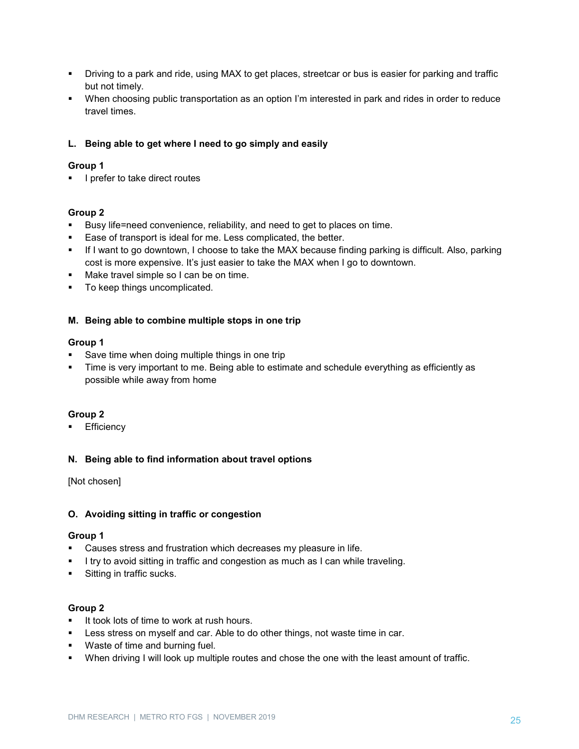- Driving to a park and ride, using MAX to get places, streetcar or bus is easier for parking and traffic but not timely.
- When choosing public transportation as an option I'm interested in park and rides in order to reduce travel times.

# **L. Being able to get where I need to go simply and easily**

# **Group 1**

**I** prefer to take direct routes

#### **Group 2**

- Busy life=need convenience, reliability, and need to get to places on time.
- **Ease of transport is ideal for me. Less complicated, the better.**
- If I want to go downtown, I choose to take the MAX because finding parking is difficult. Also, parking cost is more expensive. It's just easier to take the MAX when I go to downtown.
- **Make travel simple so I can be on time.**
- To keep things uncomplicated.

#### **M. Being able to combine multiple stops in one trip**

#### **Group 1**

- Save time when doing multiple things in one trip
- Time is very important to me. Being able to estimate and schedule everything as efficiently as possible while away from home

# **Group 2**

**Efficiency** 

#### **N. Being able to find information about travel options**

[Not chosen]

#### **O. Avoiding sitting in traffic or congestion**

#### **Group 1**

- Causes stress and frustration which decreases my pleasure in life.
- **I** try to avoid sitting in traffic and congestion as much as I can while traveling.
- **Sitting in traffic sucks.**

- It took lots of time to work at rush hours.
- **EXELLESS** Stress on myself and car. Able to do other things, not waste time in car.
- **Waste of time and burning fuel.**
- When driving I will look up multiple routes and chose the one with the least amount of traffic.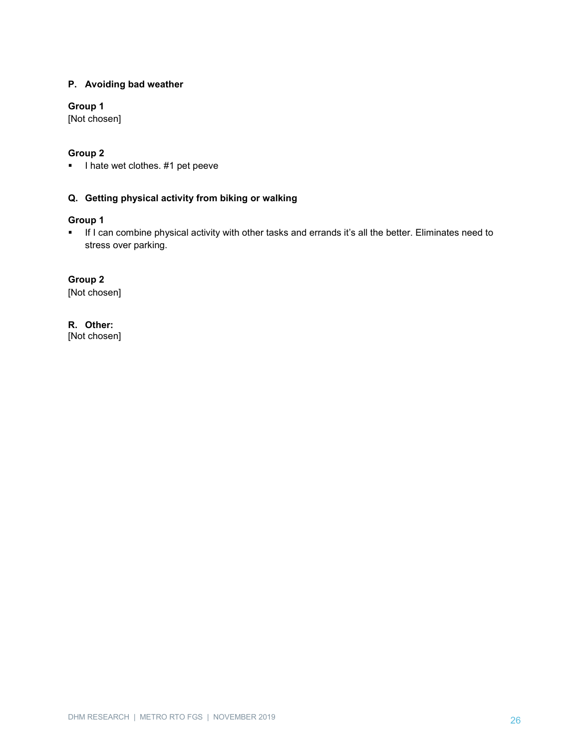# **P. Avoiding bad weather**

# **Group 1**

[Not chosen]

# **Group 2**

I hate wet clothes. #1 pet peeve

# **Q. Getting physical activity from biking or walking**

# **Group 1**

 If I can combine physical activity with other tasks and errands it's all the better. Eliminates need to stress over parking.

# **Group 2**

[Not chosen]

# **R. Other:**

[Not chosen]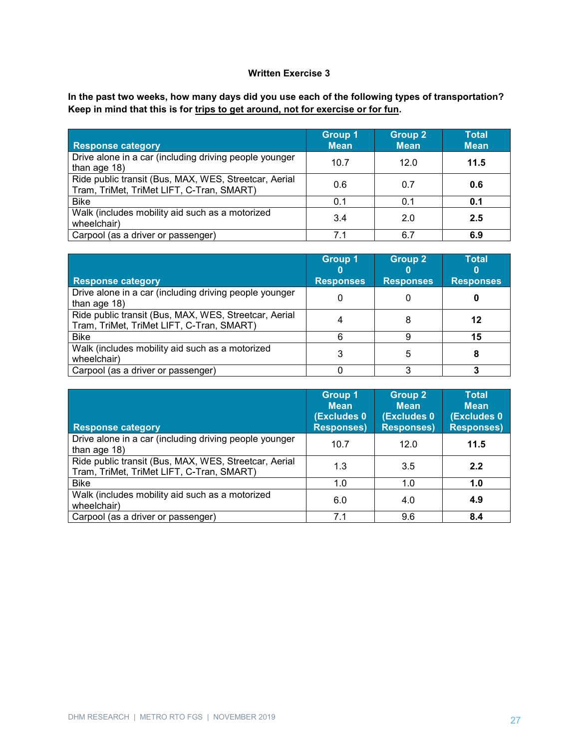# **Written Exercise 3**

**In the past two weeks, how many days did you use each of the following types of transportation? Keep in mind that this is for trips to get around, not for exercise or for fun.**

| <b>Response category</b>                                                                           | <b>Group 1</b><br><b>Mean</b> | Group 2<br><b>Mean</b> | <b>Total</b><br><b>Mean</b> |
|----------------------------------------------------------------------------------------------------|-------------------------------|------------------------|-----------------------------|
| Drive alone in a car (including driving people younger<br>than age 18)                             | 10.7                          | 12.0                   | 11.5                        |
| Ride public transit (Bus, MAX, WES, Streetcar, Aerial<br>Tram, TriMet, TriMet LIFT, C-Tran, SMART) | 0.6                           | 0.7                    | 0.6                         |
| <b>Bike</b>                                                                                        | 0.1                           | 0.1                    | 0.1                         |
| Walk (includes mobility aid such as a motorized<br>wheelchair)                                     | 3.4                           | 2.0                    | 2.5                         |
| Carpool (as a driver or passenger)                                                                 | 71                            | 6.7                    | 6.9                         |

|                                                                                                    | <b>Group 1</b>   | <b>Group 2</b>   | <b>Total</b>     |
|----------------------------------------------------------------------------------------------------|------------------|------------------|------------------|
| <b>Response category</b>                                                                           | <b>Responses</b> | <b>Responses</b> | <b>Responses</b> |
| Drive alone in a car (including driving people younger<br>than age 18)                             |                  |                  |                  |
| Ride public transit (Bus, MAX, WES, Streetcar, Aerial<br>Tram, TriMet, TriMet LIFT, C-Tran, SMART) |                  |                  | 12               |
| <b>Bike</b>                                                                                        |                  |                  |                  |
| Walk (includes mobility aid such as a motorized<br>wheelchair)                                     |                  | 5                |                  |
| Carpool (as a driver or passenger)                                                                 |                  |                  |                  |

| <b>Response category</b>                                                                           | <b>Group 1</b><br><b>Mean</b><br><b>(Excludes 0)</b><br><b>Responses)</b> | <b>Group 2</b><br><b>Mean</b><br>(Excludes 0)<br><b>Responses)</b> | <b>Total</b><br><b>Mean</b><br><b>(Excludes 0)</b><br><b>Responses)</b> |
|----------------------------------------------------------------------------------------------------|---------------------------------------------------------------------------|--------------------------------------------------------------------|-------------------------------------------------------------------------|
| Drive alone in a car (including driving people younger<br>than age $18$ )                          | 10.7                                                                      | 12.0                                                               | 11.5                                                                    |
| Ride public transit (Bus, MAX, WES, Streetcar, Aerial<br>Tram, TriMet, TriMet LIFT, C-Tran, SMART) | 1.3                                                                       | 3.5                                                                | 2.2                                                                     |
| <b>Bike</b>                                                                                        | 1.0                                                                       | 1.0                                                                | 1.0                                                                     |
| Walk (includes mobility aid such as a motorized<br>wheelchair)                                     | 6.0                                                                       | 4.0                                                                | 4.9                                                                     |
| Carpool (as a driver or passenger)                                                                 | 7 <sub>1</sub>                                                            | 9.6                                                                | 8.4                                                                     |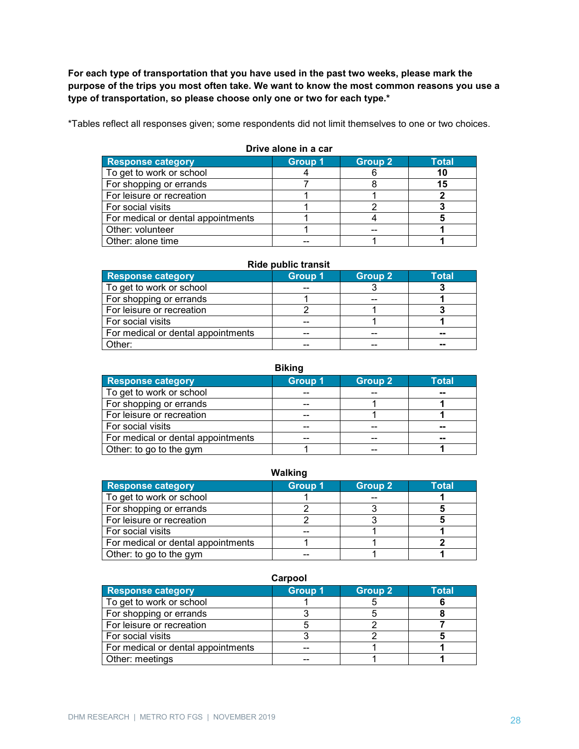**For each type of transportation that you have used in the past two weeks, please mark the purpose of the trips you most often take. We want to know the most common reasons you use a type of transportation, so please choose only one or two for each type.\***

\*Tables reflect all responses given; some respondents did not limit themselves to one or two choices.

| <b>Response category</b>           | <b>Group 1</b> | <b>Group 2</b> | <b>Total</b> |  |
|------------------------------------|----------------|----------------|--------------|--|
| To get to work or school           |                |                | 10           |  |
| For shopping or errands            |                |                | 15           |  |
| For leisure or recreation          |                |                |              |  |
| For social visits                  |                |                |              |  |
| For medical or dental appointments |                |                |              |  |
| Other: volunteer                   |                |                |              |  |
| Other: alone time                  |                |                |              |  |

#### **Drive alone in a car**

#### **Ride public transit**

| <b>Response category</b>           | <b>Group 1</b> | <b>Group 2</b> | Total  |
|------------------------------------|----------------|----------------|--------|
| To get to work or school           |                |                |        |
| For shopping or errands            |                | --             |        |
| For leisure or recreation          |                |                |        |
| For social visits                  |                |                |        |
| For medical or dental appointments | --             | --             | $\sim$ |
| Other:                             | --             |                | --     |

#### **Biking**

| <b>Response category</b>           | <b>Group 1</b> | <b>Group 2</b> | <b>Total</b> |
|------------------------------------|----------------|----------------|--------------|
| To get to work or school           |                |                | $- -$        |
| For shopping or errands            |                |                |              |
| For leisure or recreation          |                |                |              |
| For social visits                  | --             | --             | $\sim$       |
| For medical or dental appointments | --             | --             | --           |
| Other: to go to the gym            |                |                |              |

#### **Walking Response category Group 1 Group 2 Total** To get to work or school **1** 1 -- 1<br>
For shopping or errands 2 3 5 For shopping or errands<br>
For leisure or recreation<br>
2 3 3 5 For leisure or recreation For social visits the social visits the second visits the second visits of the second visits of the second visi<br>
For medical or dental appointments the second visit of the second visit of the second visit of the second vis For medical or dental appointments  $\begin{array}{|c|c|c|c|c|c|}\n\hline\n\text{5} & 1 & 1 & 2 \\
\hline\n\text{6} & 1 & 1 & 1\n\end{array}$ Other: to go to the gym and the state of the state of the state of the state of the state of the state of the state of the state of the state of the state of the state of the state of the state of the state of the state of

#### **Carpool**

| <b>Response category</b>           | Group 1 | <b>Group 2</b> | Total |
|------------------------------------|---------|----------------|-------|
| To get to work or school           |         |                |       |
| For shopping or errands            |         |                |       |
| For leisure or recreation          |         |                |       |
| For social visits                  |         |                |       |
| For medical or dental appointments |         |                |       |
| Other: meetings                    |         |                |       |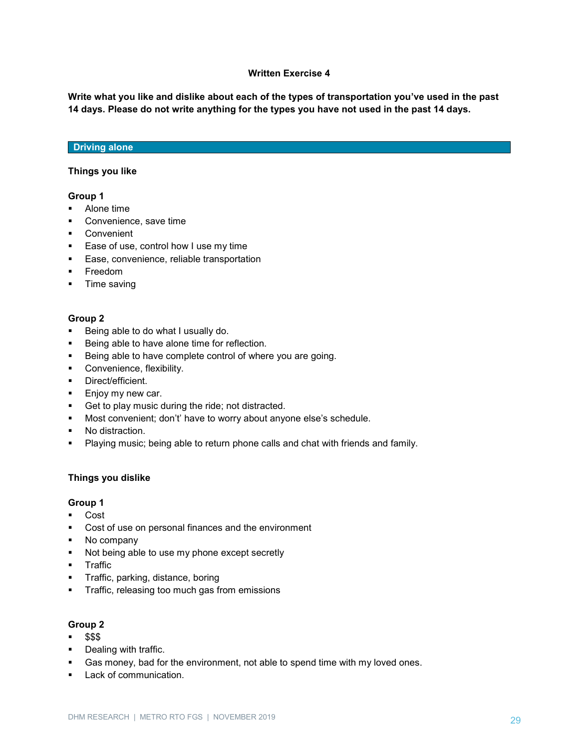#### **Written Exercise 4**

**Write what you like and dislike about each of the types of transportation you've used in the past 14 days. Please do not write anything for the types you have not used in the past 14 days.**

#### **Driving alone**

#### **Things you like**

#### **Group 1**

- Alone time
- **Convenience, save time**
- **Convenient**
- **Ease of use, control how I use my time**
- **Ease, convenience, reliable transportation**
- **Freedom**
- **Time saving**

#### **Group 2**

- **Being able to do what I usually do.**
- **Being able to have alone time for reflection.**
- Being able to have complete control of where you are going.
- **Convenience, flexibility.**
- **Direct/efficient.**
- **Enjoy my new car.**
- **Get to play music during the ride; not distracted.**
- Most convenient; don't' have to worry about anyone else's schedule.
- No distraction.
- Playing music; being able to return phone calls and chat with friends and family.

#### **Things you dislike**

# **Group 1**

- Cost
- Cost of use on personal finances and the environment
- No company
- Not being able to use my phone except secretly
- **-** Traffic
- **Traffic, parking, distance, boring**
- **Traffic, releasing too much gas from emissions**

- $-$  \$\$\$
- **•** Dealing with traffic.
- Gas money, bad for the environment, not able to spend time with my loved ones.
- **Lack of communication.**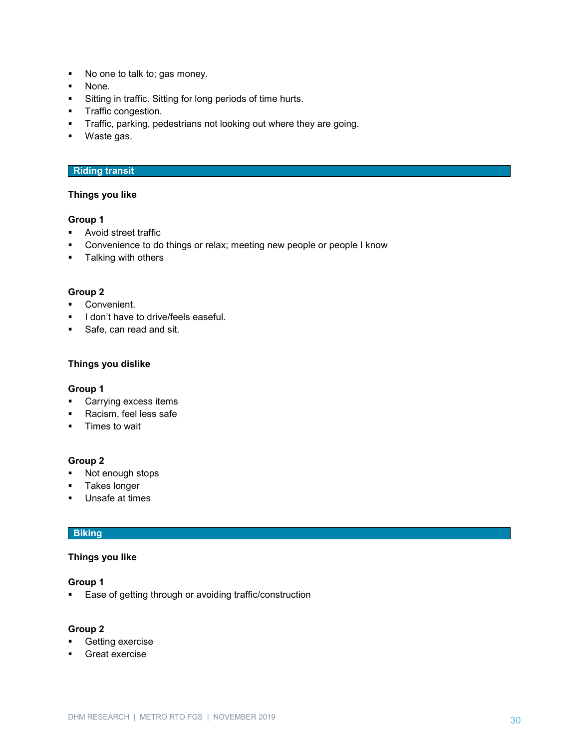- No one to talk to; gas money.
- None.
- **Sitting in traffic. Sitting for long periods of time hurts.**
- **Traffic congestion.**
- **Traffic, parking, pedestrians not looking out where they are going.**
- Waste gas.

#### **Riding transit**

#### **Things you like**

#### **Group 1**

- **Avoid street traffic**
- **•** Convenience to do things or relax; meeting new people or people I know
- **Talking with others**

#### **Group 2**

- **Convenient.**
- I don't have to drive/feels easeful.
- Safe, can read and sit.

#### **Things you dislike**

#### **Group 1**

- **Carrying excess items**
- Racism, feel less safe
- **Times to wait**

#### **Group 2**

- Not enough stops
- **Takes longer**
- **Unsafe at times**

# **Biking**

# **Things you like**

#### **Group 1**

**Ease of getting through or avoiding traffic/construction** 

- **•** Getting exercise
- Great exercise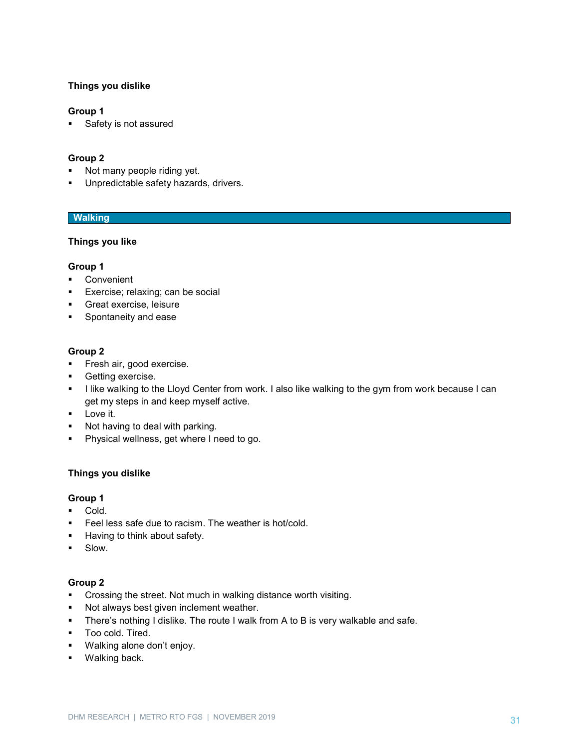# **Things you dislike**

#### **Group 1**

Safety is not assured

#### **Group 2**

- Not many people riding yet.
- **Unpredictable safety hazards, drivers.**

# **Walking**

#### **Things you like**

#### **Group 1**

- Convenient
- **Exercise; relaxing; can be social**
- **Great exercise, leisure**
- **Spontaneity and ease**

#### **Group 2**

- **Fresh air, good exercise.**
- **Getting exercise.**
- I like walking to the Lloyd Center from work. I also like walking to the gym from work because I can get my steps in and keep myself active.
- **Love it.**
- Not having to deal with parking.
- **Physical wellness, get where I need to go.**

#### **Things you dislike**

#### **Group 1**

- **Cold.**
- Feel less safe due to racism. The weather is hot/cold.
- **Having to think about safety.**
- **Slow.**

- **•** Crossing the street. Not much in walking distance worth visiting.
- **Not always best given inclement weather.**
- **There's nothing I dislike. The route I walk from A to B is very walkable and safe.**
- **Too cold. Tired.**
- Walking alone don't enjoy.
- **Walking back.**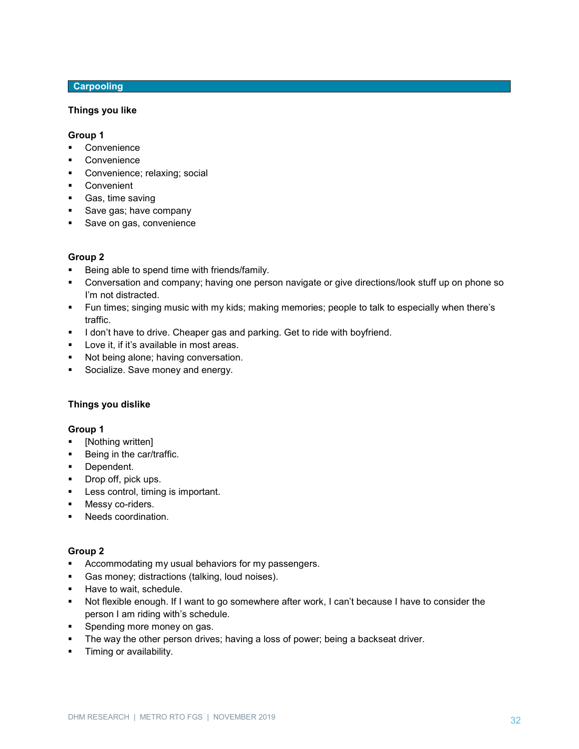# **Carpooling**

#### **Things you like**

#### **Group 1**

- Convenience
- Convenience
- **Convenience; relaxing; social**
- **Convenient**
- **Gas, time saving**
- Save gas; have company
- **Save on gas, convenience**

#### **Group 2**

- Being able to spend time with friends/family.
- Conversation and company; having one person navigate or give directions/look stuff up on phone so I'm not distracted.
- Fun times; singing music with my kids; making memories; people to talk to especially when there's traffic.
- I don't have to drive. Cheaper gas and parking. Get to ride with boyfriend.
- **Love it, if it's available in most areas.**
- **Not being alone; having conversation.**
- Socialize. Save money and energy.

#### **Things you dislike**

#### **Group 1**

- [Nothing written]
- **Being in the car/traffic.**
- **Dependent.**
- **Drop off, pick ups.**
- **Less control, timing is important.**
- Messy co-riders.
- **Needs coordination.**

- Accommodating my usual behaviors for my passengers.
- Gas money; distractions (talking, loud noises).
- **Have to wait, schedule.**
- Not flexible enough. If I want to go somewhere after work, I can't because I have to consider the person I am riding with's schedule.
- Spending more money on gas.
- The way the other person drives; having a loss of power; being a backseat driver.
- **Timing or availability.**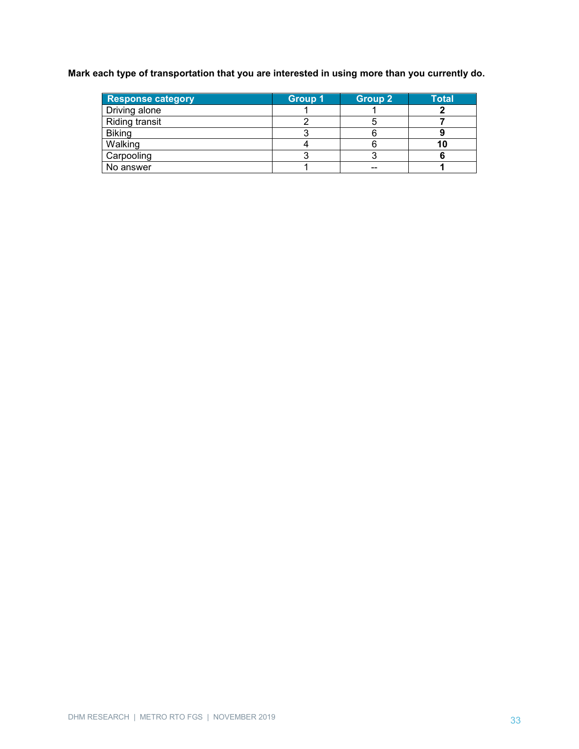**Mark each type of transportation that you are interested in using more than you currently do.**

| <b>Response category</b> | <b>Group 1</b> | <b>Group 2</b> | <b>Total</b> |
|--------------------------|----------------|----------------|--------------|
| Driving alone            |                |                |              |
| Riding transit           |                |                |              |
| <b>Biking</b>            |                |                |              |
| Walking                  |                |                | 1 U          |
| Carpooling               |                |                |              |
| No answer                |                | --             |              |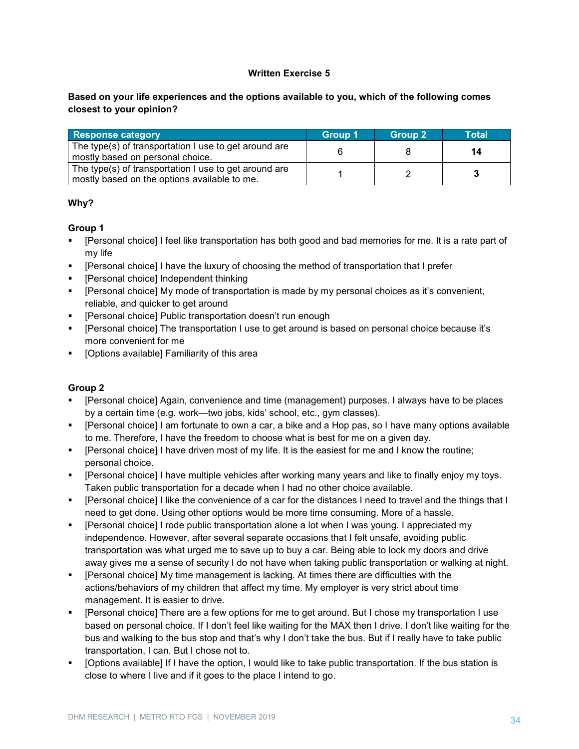# **Written Exercise 5**

# **Based on your life experiences and the options available to you, which of the following comes closest to your opinion?**

| <b>Response category</b>                                                                              | Group 1 | <b>Group 2</b> | Total |
|-------------------------------------------------------------------------------------------------------|---------|----------------|-------|
| The type(s) of transportation I use to get around are<br>mostly based on personal choice.             |         |                | 14    |
| The type(s) of transportation I use to get around are<br>mostly based on the options available to me. |         |                |       |

# **Why?**

# **Group 1**

- [Personal choice] I feel like transportation has both good and bad memories for me. It is a rate part of my life
- [Personal choice] I have the luxury of choosing the method of transportation that I prefer
- **•** [Personal choice] Independent thinking
- [Personal choice] My mode of transportation is made by my personal choices as it's convenient, reliable, and quicker to get around
- **Fall Personal choice] Public transportation doesn't run enough**
- [Personal choice] The transportation I use to get around is based on personal choice because it's more convenient for me
- **•** [Options available] Familiarity of this area

- [Personal choice] Again, convenience and time (management) purposes. I always have to be places by a certain time (e.g. work—two jobs, kids' school, etc., gym classes).
- [Personal choice] I am fortunate to own a car, a bike and a Hop pas, so I have many options available to me. Therefore, I have the freedom to choose what is best for me on a given day.
- [Personal choice] I have driven most of my life. It is the easiest for me and I know the routine; personal choice.
- [Personal choice] I have multiple vehicles after working many years and like to finally enjoy my toys. Taken public transportation for a decade when I had no other choice available.
- [Personal choice] I like the convenience of a car for the distances I need to travel and the things that I need to get done. Using other options would be more time consuming. More of a hassle.
- [Personal choice] I rode public transportation alone a lot when I was young. I appreciated my independence. However, after several separate occasions that I felt unsafe, avoiding public transportation was what urged me to save up to buy a car. Being able to lock my doors and drive away gives me a sense of security I do not have when taking public transportation or walking at night.
- [Personal choice] My time management is lacking. At times there are difficulties with the actions/behaviors of my children that affect my time. My employer is very strict about time management. It is easier to drive.
- [Personal choice] There are a few options for me to get around. But I chose my transportation I use based on personal choice. If I don't feel like waiting for the MAX then I drive. I don't like waiting for the bus and walking to the bus stop and that's why I don't take the bus. But if I really have to take public transportation, I can. But I chose not to.
- [Options available] If I have the option, I would like to take public transportation. If the bus station is close to where I live and if it goes to the place I intend to go.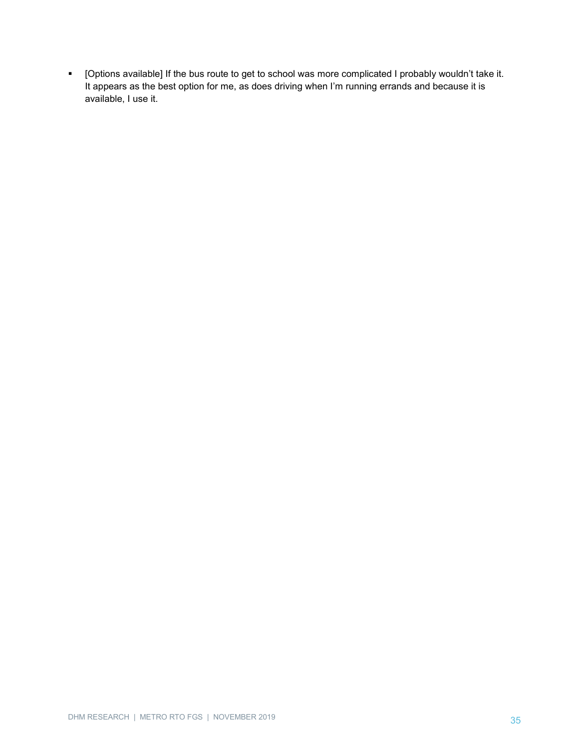[Options available] If the bus route to get to school was more complicated I probably wouldn't take it. It appears as the best option for me, as does driving when I'm running errands and because it is available, I use it.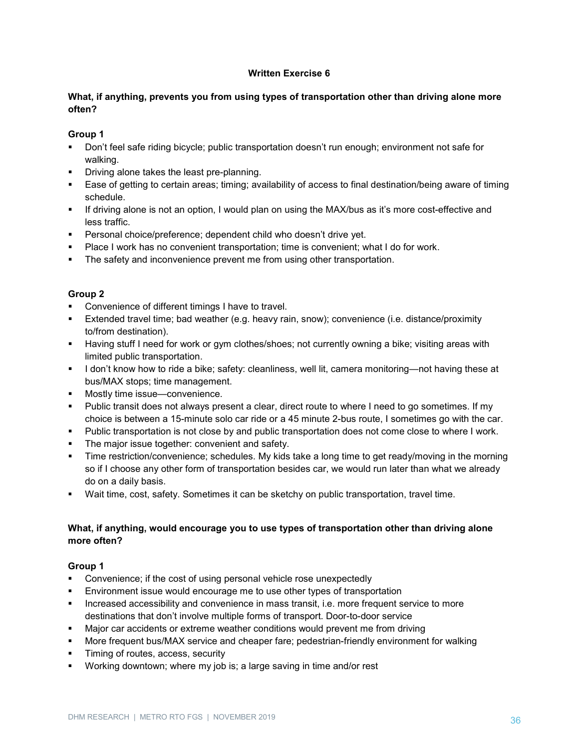# **Written Exercise 6**

# **What, if anything, prevents you from using types of transportation other than driving alone more often?**

# **Group 1**

- Don't feel safe riding bicycle; public transportation doesn't run enough; environment not safe for walking.
- **•** Driving alone takes the least pre-planning.
- Ease of getting to certain areas; timing; availability of access to final destination/being aware of timing schedule.
- If driving alone is not an option, I would plan on using the MAX/bus as it's more cost-effective and less traffic.
- Personal choice/preference; dependent child who doesn't drive yet.
- Place I work has no convenient transportation; time is convenient; what I do for work.
- The safety and inconvenience prevent me from using other transportation.

# **Group 2**

- **Convenience of different timings I have to travel.**
- Extended travel time; bad weather (e.g. heavy rain, snow); convenience (i.e. distance/proximity to/from destination).
- Having stuff I need for work or gym clothes/shoes; not currently owning a bike; visiting areas with limited public transportation.
- I don't know how to ride a bike; safety: cleanliness, well lit, camera monitoring—not having these at bus/MAX stops; time management.
- **Mostly time issue—convenience.**
- Public transit does not always present a clear, direct route to where I need to go sometimes. If my choice is between a 15-minute solo car ride or a 45 minute 2-bus route, I sometimes go with the car.
- Public transportation is not close by and public transportation does not come close to where I work.
- The major issue together: convenient and safety.
- Time restriction/convenience; schedules. My kids take a long time to get ready/moving in the morning so if I choose any other form of transportation besides car, we would run later than what we already do on a daily basis.
- Wait time, cost, safety. Sometimes it can be sketchy on public transportation, travel time.

# **What, if anything, would encourage you to use types of transportation other than driving alone more often?**

- Convenience; if the cost of using personal vehicle rose unexpectedly
- Environment issue would encourage me to use other types of transportation
- **Increased accessibility and convenience in mass transit, i.e. more frequent service to more** destinations that don't involve multiple forms of transport. Door-to-door service
- Major car accidents or extreme weather conditions would prevent me from driving
- More frequent bus/MAX service and cheaper fare; pedestrian-friendly environment for walking
- Timing of routes, access, security
- Working downtown; where my job is; a large saving in time and/or rest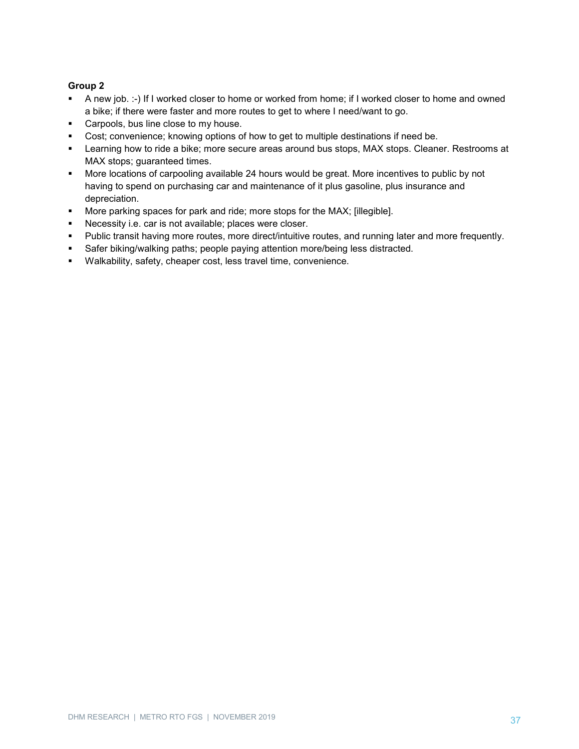- A new job. :-) If I worked closer to home or worked from home; if I worked closer to home and owned a bike; if there were faster and more routes to get to where I need/want to go.
- **Carpools, bus line close to my house.**
- Cost; convenience; knowing options of how to get to multiple destinations if need be.
- Learning how to ride a bike; more secure areas around bus stops, MAX stops. Cleaner. Restrooms at MAX stops; guaranteed times.
- More locations of carpooling available 24 hours would be great. More incentives to public by not having to spend on purchasing car and maintenance of it plus gasoline, plus insurance and depreciation.
- **More parking spaces for park and ride; more stops for the MAX; [illegible].**
- **Necessity i.e. car is not available; places were closer.**
- Public transit having more routes, more direct/intuitive routes, and running later and more frequently.
- **Safer biking/walking paths; people paying attention more/being less distracted.**
- Walkability, safety, cheaper cost, less travel time, convenience.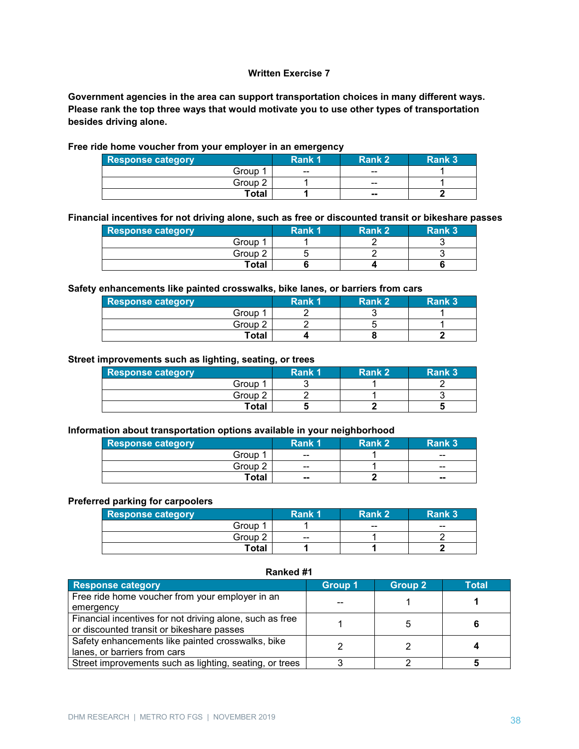#### **Written Exercise 7**

**Government agencies in the area can support transportation choices in many different ways. Please rank the top three ways that would motivate you to use other types of transportation besides driving alone.**

| <b>Response category</b> | . <i>.</i><br>Rank 1 | Rank 2 | Rank 3 |
|--------------------------|----------------------|--------|--------|
| Group                    | $\sim$               | --     |        |
| Group 2                  |                      | --     |        |
| Total                    |                      | $\sim$ |        |

#### **Free ride home voucher from your employer in an emergency**

**Financial incentives for not driving alone, such as free or discounted transit or bikeshare passes**

| <b>Response category</b> | Rank 1 | ⊦Rank 2 | Rank 3 |
|--------------------------|--------|---------|--------|
| Group 1                  |        |         |        |
| Group 2                  |        |         |        |
| Total                    |        |         |        |

#### **Safety enhancements like painted crosswalks, bike lanes, or barriers from cars**

| <b>Response category</b> | Rank 1 | <b>Rank 2</b> | Rank 3 |
|--------------------------|--------|---------------|--------|
| Group 1                  |        |               |        |
| Group 2                  |        |               |        |
| Total                    |        |               |        |

#### **Street improvements such as lighting, seating, or trees**

| <b>Response category</b> | Rank 1 | Rank 2 | Rank 3 |
|--------------------------|--------|--------|--------|
| Group 1                  |        |        |        |
| Group 2                  |        |        |        |
| <b>Total</b>             |        |        |        |

#### **Information about transportation options available in your neighborhood**

| <b>Response category</b> | Rank 1        | Rank 2 | Rank 3 |
|--------------------------|---------------|--------|--------|
| Group                    | $\sim$ $\sim$ |        | $- -$  |
| Group 2                  | $- -$         |        | --     |
| <b>Total</b>             | $\sim$        |        | $-$    |

#### **Preferred parking for carpoolers**

| <b>Response category</b> | Rank 1        | Rank 2 | Rank 3 |
|--------------------------|---------------|--------|--------|
| Group                    |               | --     | $- -$  |
| Group 2                  | $\sim$ $\sim$ |        |        |
| Total                    |               |        |        |

#### **Ranked #1**

| <b>Response category</b>                                 | <b>Group 1</b> | Group 2 | <b>Total</b> |
|----------------------------------------------------------|----------------|---------|--------------|
| Free ride home voucher from your employer in an          |                |         |              |
| emergency                                                |                |         |              |
| Financial incentives for not driving alone, such as free |                |         |              |
| or discounted transit or bikeshare passes                |                |         |              |
| Safety enhancements like painted crosswalks, bike        |                |         |              |
| lanes, or barriers from cars                             |                |         |              |
| Street improvements such as lighting, seating, or trees  |                |         |              |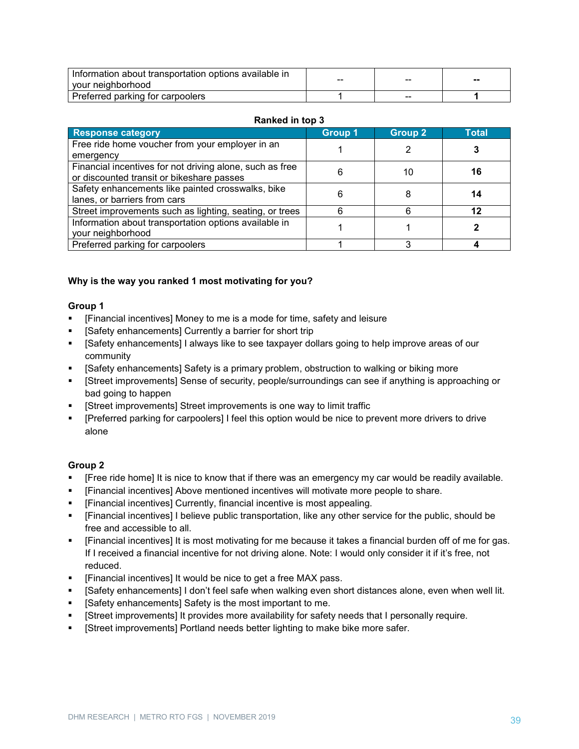| Information about transportation options available in<br>your neighborhood | -- | -- | -- |
|----------------------------------------------------------------------------|----|----|----|
| Preferred parking for carpoolers                                           |    | -- |    |

#### **Ranked in top 3**

| <b>Response category</b>                                 | <b>Group 1</b> | <b>Group 2</b> | Total |
|----------------------------------------------------------|----------------|----------------|-------|
| Free ride home voucher from your employer in an          |                |                |       |
| emergency                                                |                |                |       |
| Financial incentives for not driving alone, such as free |                |                |       |
| or discounted transit or bikeshare passes                | რ              | 10             | 16    |
| Safety enhancements like painted crosswalks, bike        | 6              |                |       |
| lanes, or barriers from cars                             |                |                |       |
| Street improvements such as lighting, seating, or trees  |                |                |       |
| Information about transportation options available in    |                |                |       |
| your neighborhood                                        |                |                |       |
| Preferred parking for carpoolers                         |                |                |       |

# **Why is the way you ranked 1 most motivating for you?**

#### **Group 1**

- [Financial incentives] Money to me is a mode for time, safety and leisure
- [Safety enhancements] Currently a barrier for short trip
- [Safety enhancements] I always like to see taxpayer dollars going to help improve areas of our community
- [Safety enhancements] Safety is a primary problem, obstruction to walking or biking more
- [Street improvements] Sense of security, people/surroundings can see if anything is approaching or bad going to happen
- [Street improvements] Street improvements is one way to limit traffic
- [Preferred parking for carpoolers] I feel this option would be nice to prevent more drivers to drive alone

- [Free ride home] It is nice to know that if there was an emergency my car would be readily available.
- [Financial incentives] Above mentioned incentives will motivate more people to share.
- [Financial incentives] Currently, financial incentive is most appealing.
- [Financial incentives] I believe public transportation, like any other service for the public, should be free and accessible to all.
- [Financial incentives] It is most motivating for me because it takes a financial burden off of me for gas. If I received a financial incentive for not driving alone. Note: I would only consider it if it's free, not reduced.
- **Financial incentives**] It would be nice to get a free MAX pass.
- [Safety enhancements] I don't feel safe when walking even short distances alone, even when well lit.
- **EXECT:** [Safety enhancements] Safety is the most important to me.
- [Street improvements] It provides more availability for safety needs that I personally require.
- **Fall Street improvements] Portland needs better lighting to make bike more safer.**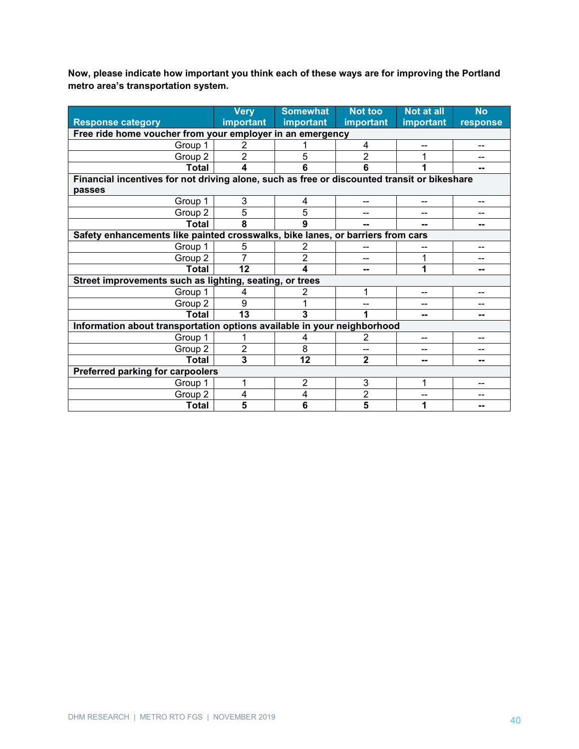**Now, please indicate how important you think each of these ways are for improving the Portland metro area's transportation system.**

|                                                                                             | <b>Very</b>                                                             | <b>Somewhat</b> | <b>Not too</b> | Not at all | <b>No</b> |
|---------------------------------------------------------------------------------------------|-------------------------------------------------------------------------|-----------------|----------------|------------|-----------|
| <b>Response category</b>                                                                    | important                                                               | important       | important      | important  | response  |
| Free ride home voucher from your employer in an emergency                                   |                                                                         |                 |                |            |           |
| Group 1                                                                                     | 2                                                                       |                 | 4              |            |           |
| Group 2                                                                                     | 2                                                                       | 5               | 2              |            |           |
| <b>Total</b>                                                                                | 4                                                                       | 6               | 6              |            | --        |
| Financial incentives for not driving alone, such as free or discounted transit or bikeshare |                                                                         |                 |                |            |           |
| passes                                                                                      |                                                                         |                 |                |            |           |
| Group 1                                                                                     | 3                                                                       | 4               | --             | --         | --        |
| Group 2                                                                                     | 5                                                                       | 5               | --             | --         | --        |
| Total                                                                                       | 8                                                                       | 9               | --             | --         | --        |
| Safety enhancements like painted crosswalks, bike lanes, or barriers from cars              |                                                                         |                 |                |            |           |
| Group 1                                                                                     | 5                                                                       | 2               | --             |            | --        |
| Group 2                                                                                     |                                                                         | $\overline{2}$  |                |            |           |
| <b>Total</b>                                                                                | 12                                                                      | 4               | --             | 1          | --        |
| Street improvements such as lighting, seating, or trees                                     |                                                                         |                 |                |            |           |
| Group 1                                                                                     | 4                                                                       | 2               | 1              | --         |           |
| Group 2                                                                                     | 9                                                                       |                 | --             | --         | --        |
| <b>Total</b>                                                                                | 13                                                                      | 3               |                | --         | --        |
|                                                                                             | Information about transportation options available in your neighborhood |                 |                |            |           |
| Group 1                                                                                     |                                                                         | 4               | $\overline{2}$ | --         | --        |
| Group 2                                                                                     | $\overline{2}$                                                          | 8               | --             | --         | --        |
| <b>Total</b>                                                                                | $\overline{3}$                                                          | 12              | $\overline{2}$ | --         | --        |
| Preferred parking for carpoolers                                                            |                                                                         |                 |                |            |           |
| Group 1                                                                                     |                                                                         | $\overline{2}$  | 3              | 1          |           |
| Group 2                                                                                     | 4                                                                       | 4               | 2              |            |           |
| <b>Total</b>                                                                                | 5                                                                       | 6               | 5              |            |           |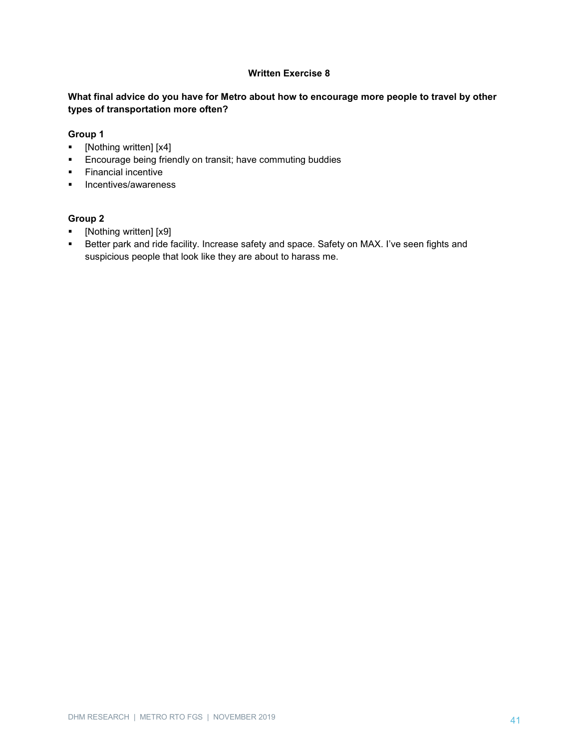#### **Written Exercise 8**

# **What final advice do you have for Metro about how to encourage more people to travel by other types of transportation more often?**

#### **Group 1**

- [Nothing written] [x4]
- **Encourage being friendly on transit; have commuting buddies**
- **Financial incentive**
- **Incentives/awareness**

- [Nothing written] [x9]
- **Better park and ride facility. Increase safety and space. Safety on MAX. I've seen fights and** suspicious people that look like they are about to harass me.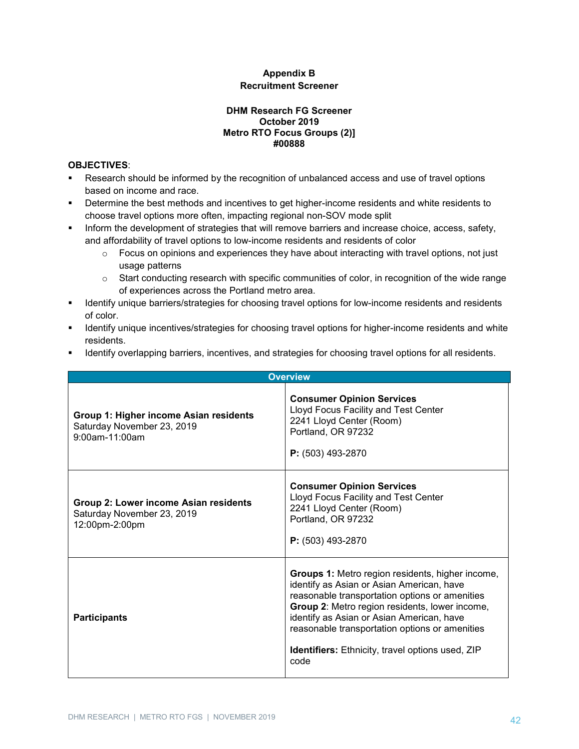# **Appendix B Recruitment Screener**

#### **DHM Research FG Screener October 2019 Metro RTO Focus Groups (2)] #00888**

#### **OBJECTIVES**:

- Research should be informed by the recognition of unbalanced access and use of travel options based on income and race.
- **•** Determine the best methods and incentives to get higher-income residents and white residents to choose travel options more often, impacting regional non-SOV mode split
- **Inform the development of strategies that will remove barriers and increase choice, access, safety,** and affordability of travel options to low-income residents and residents of color
	- $\circ$  Focus on opinions and experiences they have about interacting with travel options, not just usage patterns
	- o Start conducting research with specific communities of color, in recognition of the wide range of experiences across the Portland metro area.
- **IDENTIFY UNITED EXECUTE:** Identify unique barriers/strategies for choosing travel options for low-income residents and residents of color.
- **IDENTIFY UNITED EXECTS IN A THE INCORDER** Identify unique income residents and white residents.
- **IDENTIFY IDENTIFY IS A THE VIOLET IS A THE STARK IS A THE STARK IS A THE STARK ISLENT FORM I** residents.

| <b>Overview</b>                                                                        |                                                                                                                                                                                                                                                                                                                                                                            |  |  |
|----------------------------------------------------------------------------------------|----------------------------------------------------------------------------------------------------------------------------------------------------------------------------------------------------------------------------------------------------------------------------------------------------------------------------------------------------------------------------|--|--|
| Group 1: Higher income Asian residents<br>Saturday November 23, 2019<br>9:00am-11:00am | <b>Consumer Opinion Services</b><br>Lloyd Focus Facility and Test Center<br>2241 Lloyd Center (Room)<br>Portland, OR 97232<br>P: (503) 493-2870                                                                                                                                                                                                                            |  |  |
| Group 2: Lower income Asian residents<br>Saturday November 23, 2019<br>12:00pm-2:00pm  | <b>Consumer Opinion Services</b><br>Lloyd Focus Facility and Test Center<br>2241 Lloyd Center (Room)<br>Portland, OR 97232<br>$P: (503)$ 493-2870                                                                                                                                                                                                                          |  |  |
| <b>Participants</b>                                                                    | <b>Groups 1:</b> Metro region residents, higher income,<br>identify as Asian or Asian American, have<br>reasonable transportation options or amenities<br>Group 2: Metro region residents, lower income,<br>identify as Asian or Asian American, have<br>reasonable transportation options or amenities<br><b>Identifiers:</b> Ethnicity, travel options used, ZIP<br>code |  |  |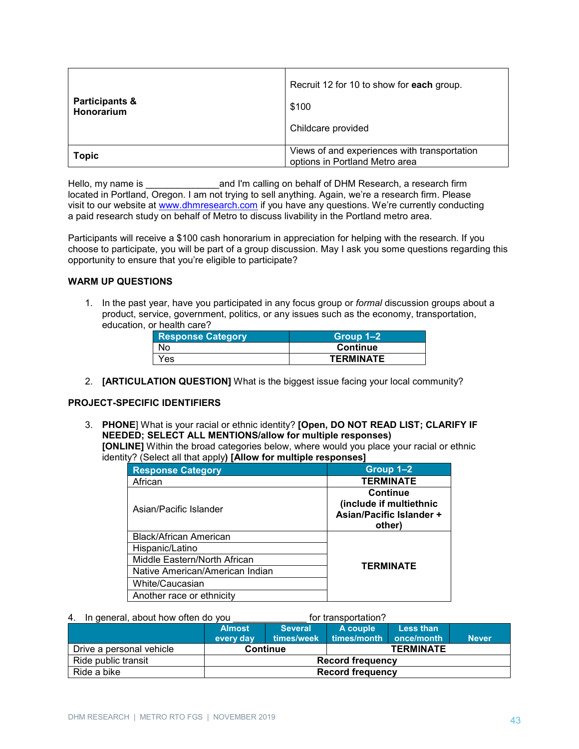| <b>Participants &amp;</b><br>Honorarium | Recruit 12 for 10 to show for each group.<br>\$100<br>Childcare provided       |
|-----------------------------------------|--------------------------------------------------------------------------------|
| <b>Topic</b>                            | Views of and experiences with transportation<br>options in Portland Metro area |

Hello, my name is **Example 20** and I'm calling on behalf of DHM Research, a research firm located in Portland, Oregon. I am not trying to sell anything. Again, we're a research firm. Please visit to our website at [www.dhmresearch.com](http://www.dhmresearch.com/) if you have any questions. We're currently conducting a paid research study on behalf of Metro to discuss livability in the Portland metro area.

Participants will receive a \$100 cash honorarium in appreciation for helping with the research. If you choose to participate, you will be part of a group discussion. May I ask you some questions regarding this opportunity to ensure that you're eligible to participate?

#### **WARM UP QUESTIONS**

1. In the past year, have you participated in any focus group or *formal* discussion groups about a product, service, government, politics, or any issues such as the economy, transportation, education, or health care?

| <b>Response Category</b> | Group $1-2$      |
|--------------------------|------------------|
| No                       | <b>Continue</b>  |
| Yes                      | <b>TERMINATE</b> |

2. **[ARTICULATION QUESTION]** What is the biggest issue facing your local community?

#### **PROJECT-SPECIFIC IDENTIFIERS**

3. **PHONE**] What is your racial or ethnic identity? **[Open, DO NOT READ LIST; CLARIFY IF NEEDED; SELECT ALL MENTIONS/allow for multiple responses) [ONLINE]** Within the broad categories below, where would you place your racial or ethnic identity? (Select all that apply**) [Allow for multiple responses]**

| <b>Response Category</b>        | Group 1-2                                                                        |
|---------------------------------|----------------------------------------------------------------------------------|
| African                         | <b>TERMINATE</b>                                                                 |
| Asian/Pacific Islander          | <b>Continue</b><br>(include if multiethnic<br>Asian/Pacific Islander +<br>other) |
| <b>Black/African American</b>   |                                                                                  |
| Hispanic/Latino                 |                                                                                  |
| Middle Eastern/North African    | <b>TERMINATE</b>                                                                 |
| Native American/American Indian |                                                                                  |
| White/Caucasian                 |                                                                                  |
| Another race or ethnicity       |                                                                                  |

#### 4. In general, about how often do you example for transportation?

|                          | <b>Almost</b><br>every day | <b>Several</b><br>times/week | A couple<br>times/month | Less than<br>once/month | <b>Never</b> |
|--------------------------|----------------------------|------------------------------|-------------------------|-------------------------|--------------|
| Drive a personal vehicle | <b>Continue</b>            |                              | <b>TERMINATE</b>        |                         |              |
| Ride public transit      | <b>Record frequency</b>    |                              |                         |                         |              |
| Ride a bike              | <b>Record frequency</b>    |                              |                         |                         |              |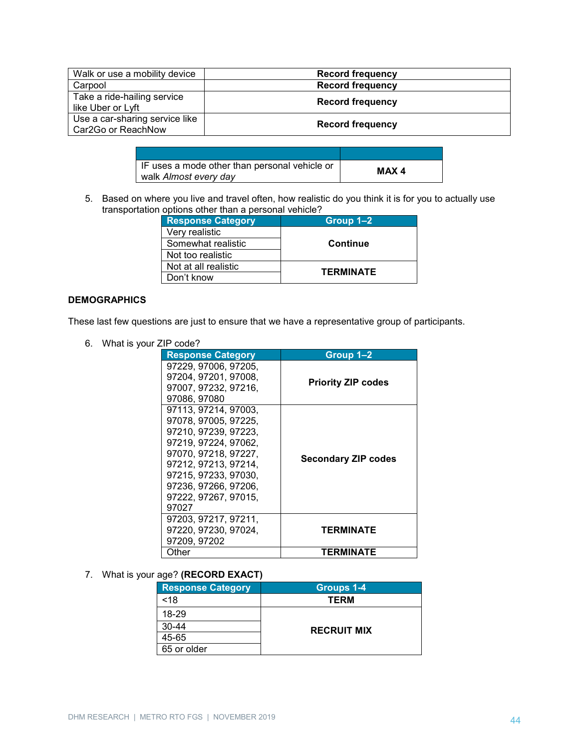| Walk or use a mobility device                        | <b>Record frequency</b> |
|------------------------------------------------------|-------------------------|
| Carpool                                              | <b>Record frequency</b> |
| Take a ride-hailing service<br>like Uber or Lyft     | <b>Record frequency</b> |
| Use a car-sharing service like<br>Car2Go or ReachNow | <b>Record frequency</b> |

| IF uses a mode other than personal vehicle or<br>walk Almost every day | MAX 4 |
|------------------------------------------------------------------------|-------|

5. Based on where you live and travel often, how realistic do you think it is for you to actually use transportation options other than a personal vehicle?

| <b>Response Category</b> | Group 1-2        |  |
|--------------------------|------------------|--|
| Very realistic           |                  |  |
| Somewhat realistic       | <b>Continue</b>  |  |
| Not too realistic        |                  |  |
| Not at all realistic     | <b>TERMINATE</b> |  |
| Don't know               |                  |  |

# **DEMOGRAPHICS**

These last few questions are just to ensure that we have a representative group of participants.

6. What is your ZIP code?

| <b>Response Category</b>                                                                                                                                                                                                      | Group 1–2                  |
|-------------------------------------------------------------------------------------------------------------------------------------------------------------------------------------------------------------------------------|----------------------------|
| 97229, 97006, 97205,<br>97204, 97201, 97008,<br>97007, 97232, 97216,<br>97086, 97080                                                                                                                                          | <b>Priority ZIP codes</b>  |
| 97113, 97214, 97003,<br>97078, 97005, 97225,<br>97210, 97239, 97223,<br>97219, 97224, 97062,<br>97070, 97218, 97227,<br>97212, 97213, 97214,<br>97215. 97233. 97030.<br>97236, 97266, 97206,<br>97222, 97267, 97015,<br>97027 | <b>Secondary ZIP codes</b> |
| 97203, 97217, 97211,<br>97220, 97230, 97024,<br>97209, 97202                                                                                                                                                                  | TERMINATE                  |
| Other                                                                                                                                                                                                                         | TERMINATE                  |

# 7. What is your age? **(RECORD EXACT)**

| <b>Response Category</b> | <b>Groups 1-4</b>  |  |
|--------------------------|--------------------|--|
| $<$ 18                   | TERM               |  |
| 18-29                    |                    |  |
| $30 - 44$                | <b>RECRUIT MIX</b> |  |
| 45-65                    |                    |  |
| 65 or older              |                    |  |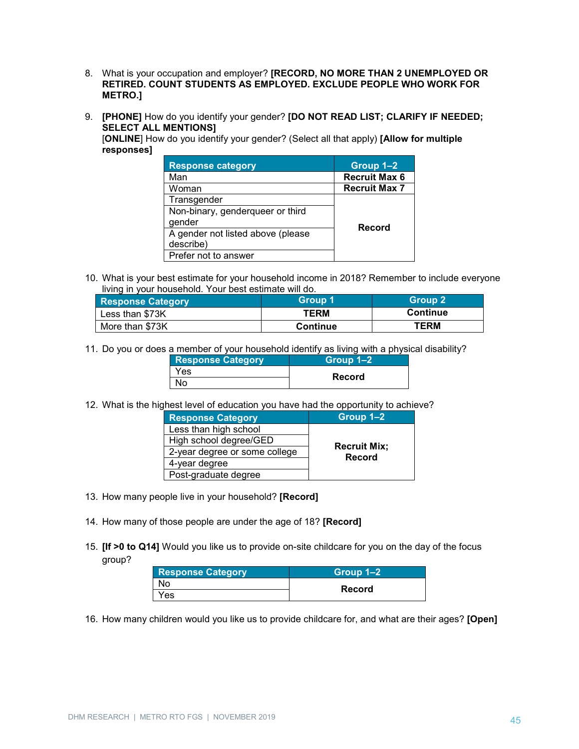- 8. What is your occupation and employer? **[RECORD, NO MORE THAN 2 UNEMPLOYED OR RETIRED. COUNT STUDENTS AS EMPLOYED. EXCLUDE PEOPLE WHO WORK FOR METRO.]**
- 9. **[PHONE]** How do you identify your gender? **[DO NOT READ LIST; CLARIFY IF NEEDED; SELECT ALL MENTIONS]**

[**ONLINE**] How do you identify your gender? (Select all that apply) **[Allow for multiple responses]** 

| <b>Response category</b>          | Group 1-2            |
|-----------------------------------|----------------------|
| Man                               | Recruit Max 6        |
| Woman                             | <b>Recruit Max 7</b> |
| Transgender                       |                      |
| Non-binary, genderqueer or third  |                      |
| gender                            | Record               |
| A gender not listed above (please |                      |
| describe)                         |                      |
| Prefer not to answer              |                      |

10. What is your best estimate for your household income in 2018? Remember to include everyone living in your household. Your best estimate will do.

| <b>Response Category</b> | Group 1         | Group 2         |
|--------------------------|-----------------|-----------------|
| Less than \$73K          | TERM            | <b>Continue</b> |
| More than \$73K          | <b>Continue</b> | <b>TERM</b>     |

11. Do you or does a member of your household identify as living with a physical disability?

| <b>Response Category</b> | Group 1–2 |
|--------------------------|-----------|
| Yes                      | Record    |
| No                       |           |

12. What is the highest level of education you have had the opportunity to achieve?

| <b>Response Category</b>      | Group 1-2                            |  |
|-------------------------------|--------------------------------------|--|
| Less than high school         |                                      |  |
| High school degree/GED        |                                      |  |
| 2-year degree or some college | <b>Recruit Mix;</b><br><b>Record</b> |  |
| 4-year degree                 |                                      |  |
| Post-graduate degree          |                                      |  |

- 13. How many people live in your household? **[Record]**
- 14. How many of those people are under the age of 18? **[Record]**
- 15. **[If >0 to Q14]** Would you like us to provide on-site childcare for you on the day of the focus group?

| <b>Response Category</b> | Group 1–2 |  |
|--------------------------|-----------|--|
| No                       |           |  |
| Yes                      | Record    |  |

16. How many children would you like us to provide childcare for, and what are their ages? **[Open]**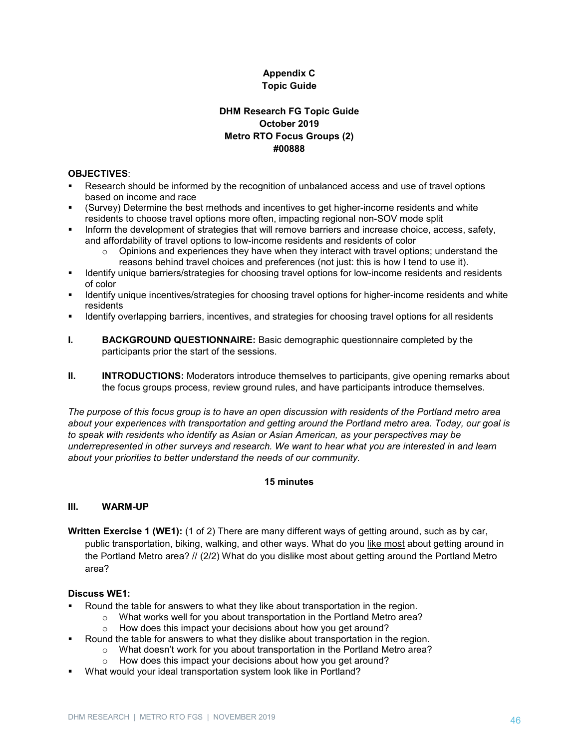# **Appendix C Topic Guide**

# **DHM Research FG Topic Guide October 2019 Metro RTO Focus Groups (2) #00888**

#### **OBJECTIVES**:

- Research should be informed by the recognition of unbalanced access and use of travel options based on income and race
- (Survey) Determine the best methods and incentives to get higher-income residents and white residents to choose travel options more often, impacting regional non-SOV mode split
- Inform the development of strategies that will remove barriers and increase choice, access, safety, and affordability of travel options to low-income residents and residents of color
	- $\circ$  Opinions and experiences they have when they interact with travel options; understand the reasons behind travel choices and preferences (not just: this is how I tend to use it).
- Identify unique barriers/strategies for choosing travel options for low-income residents and residents of color
- Identify unique incentives/strategies for choosing travel options for higher-income residents and white residents
- **IDENTIFY OVER THEORY IS A LOCAL THEORY IS NOTENAL FOR THEORY IS A LOCAL THEORY IS CONSENSAL THEORY IS A LOCAL THEORY IS A LOCAL THEORY IS A LOCAL THEORY IS A LOCAL THEORY IS A LOCAL THEORY IS A LOCAL THEORY IS A LOCAL THE**
- **I. BACKGROUND QUESTIONNAIRE:** Basic demographic questionnaire completed by the participants prior the start of the sessions.
- **II. INTRODUCTIONS:** Moderators introduce themselves to participants, give opening remarks about the focus groups process, review ground rules, and have participants introduce themselves.

*The purpose of this focus group is to have an open discussion with residents of the Portland metro area about your experiences with transportation and getting around the Portland metro area. Today, our goal is to speak with residents who identify as Asian or Asian American, as your perspectives may be underrepresented in other surveys and research. We want to hear what you are interested in and learn about your priorities to better understand the needs of our community.*

# **15 minutes**

#### **III. WARM-UP**

**Written Exercise 1 (WE1):** (1 of 2) There are many different ways of getting around, such as by car, public transportation, biking, walking, and other ways. What do you like most about getting around in the Portland Metro area? // (2/2) What do you dislike most about getting around the Portland Metro area?

#### **Discuss WE1:**

- Round the table for answers to what they like about transportation in the region.
	- $\circ$  What works well for you about transportation in the Portland Metro area?
		- o How does this impact your decisions about how you get around?
- Round the table for answers to what they dislike about transportation in the region.
	- o What doesn't work for you about transportation in the Portland Metro area?
	- o How does this impact your decisions about how you get around?
- What would your ideal transportation system look like in Portland?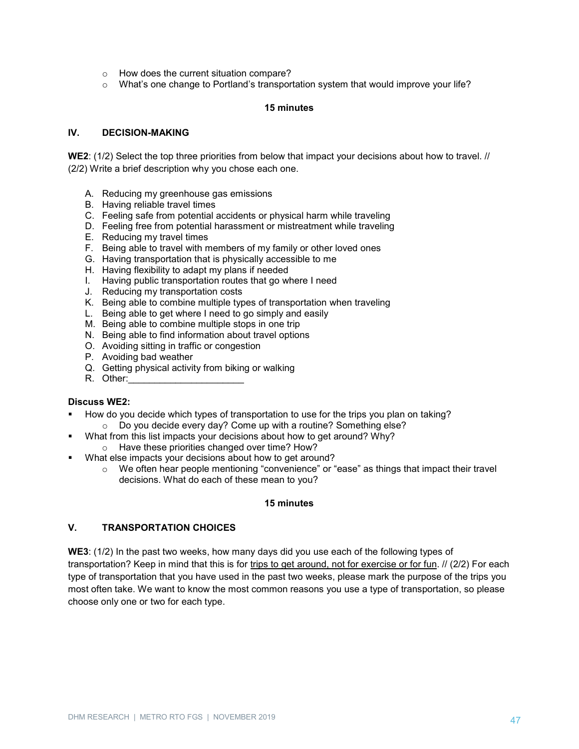- o How does the current situation compare?
- $\circ$  What's one change to Portland's transportation system that would improve your life?

#### **15 minutes**

#### **IV. DECISION-MAKING**

**WE2**: (1/2) Select the top three priorities from below that impact your decisions about how to travel. // (2/2) Write a brief description why you chose each one.

- A. Reducing my greenhouse gas emissions
- B. Having reliable travel times
- C. Feeling safe from potential accidents or physical harm while traveling
- D. Feeling free from potential harassment or mistreatment while traveling
- E. Reducing my travel times
- F. Being able to travel with members of my family or other loved ones
- G. Having transportation that is physically accessible to me
- H. Having flexibility to adapt my plans if needed
- I. Having public transportation routes that go where I need
- J. Reducing my transportation costs
- K. Being able to combine multiple types of transportation when traveling
- L. Being able to get where I need to go simply and easily
- M. Being able to combine multiple stops in one trip
- N. Being able to find information about travel options
- O. Avoiding sitting in traffic or congestion
- P. Avoiding bad weather
- Q. Getting physical activity from biking or walking
- R. Other:

#### **Discuss WE2:**

- How do you decide which types of transportation to use for the trips you plan on taking?
	- o Do you decide every day? Come up with a routine? Something else?
- What from this list impacts your decisions about how to get around? Why?
- o Have these priorities changed over time? How?
- What else impacts your decisions about how to get around?
	- o We often hear people mentioning "convenience" or "ease" as things that impact their travel decisions. What do each of these mean to you?

#### **15 minutes**

# **V. TRANSPORTATION CHOICES**

**WE3**: (1/2) In the past two weeks, how many days did you use each of the following types of transportation? Keep in mind that this is for trips to get around, not for exercise or for fun. // (2/2) For each type of transportation that you have used in the past two weeks, please mark the purpose of the trips you most often take. We want to know the most common reasons you use a type of transportation, so please choose only one or two for each type.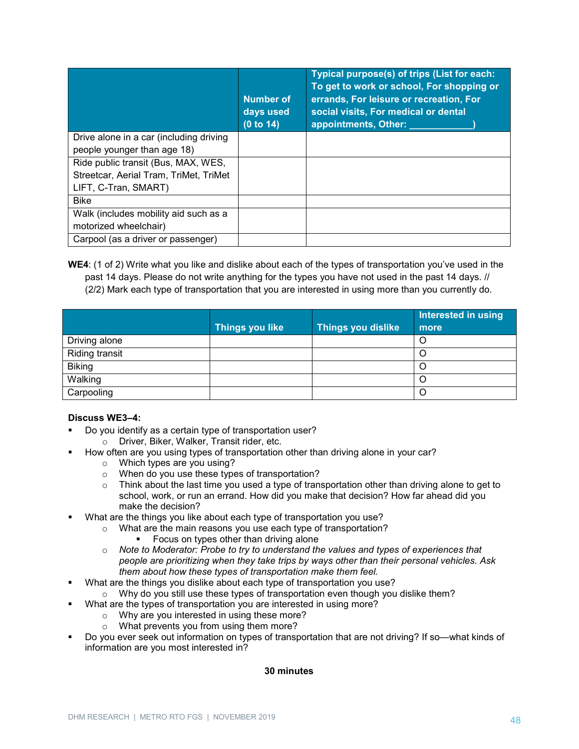|                                         | <b>Number of</b><br>days used<br>(0 to 14) | Typical purpose(s) of trips (List for each:<br>To get to work or school, For shopping or<br>errands, For leisure or recreation, For<br>social visits, For medical or dental<br>appointments, Other: |
|-----------------------------------------|--------------------------------------------|-----------------------------------------------------------------------------------------------------------------------------------------------------------------------------------------------------|
| Drive alone in a car (including driving |                                            |                                                                                                                                                                                                     |
| people younger than age 18)             |                                            |                                                                                                                                                                                                     |
| Ride public transit (Bus, MAX, WES,     |                                            |                                                                                                                                                                                                     |
| Streetcar, Aerial Tram, TriMet, TriMet  |                                            |                                                                                                                                                                                                     |
| LIFT, C-Tran, SMART)                    |                                            |                                                                                                                                                                                                     |
| <b>Bike</b>                             |                                            |                                                                                                                                                                                                     |
| Walk (includes mobility aid such as a   |                                            |                                                                                                                                                                                                     |
| motorized wheelchair)                   |                                            |                                                                                                                                                                                                     |
| Carpool (as a driver or passenger)      |                                            |                                                                                                                                                                                                     |

**WE4**: (1 of 2) Write what you like and dislike about each of the types of transportation you've used in the past 14 days. Please do not write anything for the types you have not used in the past 14 days. //

(2/2) Mark each type of transportation that you are interested in using more than you currently do.

|                       |                        |                           | Interested in using |
|-----------------------|------------------------|---------------------------|---------------------|
|                       | <b>Things you like</b> | <b>Things you dislike</b> | more                |
| Driving alone         |                        |                           | O                   |
| <b>Riding transit</b> |                        |                           |                     |
| <b>Biking</b>         |                        |                           |                     |
| Walking               |                        |                           |                     |
| Carpooling            |                        |                           |                     |

#### **Discuss WE3–4:**

- Do you identify as a certain type of transportation user?
	- o Driver, Biker, Walker, Transit rider, etc.
- How often are you using types of transportation other than driving alone in your car?
	- o Which types are you using?
	- o When do you use these types of transportation?
	- o Think about the last time you used a type of transportation other than driving alone to get to school, work, or run an errand. How did you make that decision? How far ahead did you make the decision?
- What are the things you like about each type of transportation you use?
	- o What are the main reasons you use each type of transportation?
		- **Focus on types other than driving alone**
	- o *Note to Moderator: Probe to try to understand the values and types of experiences that people are prioritizing when they take trips by ways other than their personal vehicles. Ask them about how these types of transportation make them feel.*
- What are the things you dislike about each type of transportation you use?
	- o Why do you still use these types of transportation even though you dislike them?
- What are the types of transportation you are interested in using more?
	- o Why are you interested in using these more?
	- o What prevents you from using them more?
- Do you ever seek out information on types of transportation that are not driving? If so—what kinds of information are you most interested in?

# **30 minutes**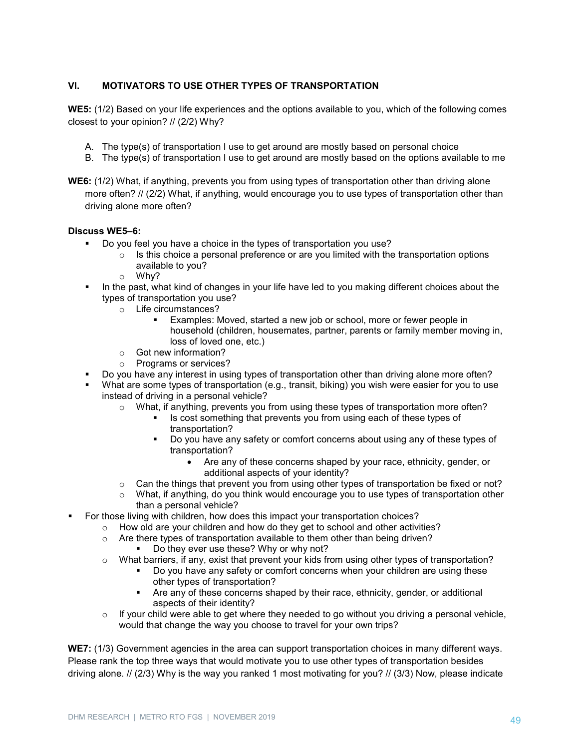# **VI. MOTIVATORS TO USE OTHER TYPES OF TRANSPORTATION**

**WE5:** (1/2) Based on your life experiences and the options available to you, which of the following comes closest to your opinion? // (2/2) Why?

- A. The type(s) of transportation I use to get around are mostly based on personal choice
- B. The type(s) of transportation I use to get around are mostly based on the options available to me
- **WE6:** (1/2) What, if anything, prevents you from using types of transportation other than driving alone more often? // (2/2) What, if anything, would encourage you to use types of transportation other than driving alone more often?

#### **Discuss WE5–6:**

- Do you feel you have a choice in the types of transportation you use?
	- $\circ$  Is this choice a personal preference or are you limited with the transportation options available to you?
	- o Why?
- In the past, what kind of changes in your life have led to you making different choices about the types of transportation you use?
	- o Life circumstances?
		- Examples: Moved, started a new job or school, more or fewer people in household (children, housemates, partner, parents or family member moving in, loss of loved one, etc.)
	- o Got new information?
	- o Programs or services?
- Do you have any interest in using types of transportation other than driving alone more often?
- What are some types of transportation (e.g., transit, biking) you wish were easier for you to use instead of driving in a personal vehicle?
	- o What, if anything, prevents you from using these types of transportation more often?
		- Is cost something that prevents you from using each of these types of transportation?
		- Do you have any safety or comfort concerns about using any of these types of transportation?
			- Are any of these concerns shaped by your race, ethnicity, gender, or additional aspects of your identity?
	- o Can the things that prevent you from using other types of transportation be fixed or not?
	- $\circ$  What, if anything, do you think would encourage you to use types of transportation other than a personal vehicle?
- For those living with children, how does this impact your transportation choices?
	- $\circ$  How old are your children and how do they get to school and other activities?
	- $\circ$  Are there types of transportation available to them other than being driven?
		- Do they ever use these? Why or why not?
	- $\circ$  What barriers, if any, exist that prevent your kids from using other types of transportation?
		- Do you have any safety or comfort concerns when your children are using these other types of transportation?
		- Are any of these concerns shaped by their race, ethnicity, gender, or additional aspects of their identity?
	- $\circ$  If your child were able to get where they needed to go without you driving a personal vehicle, would that change the way you choose to travel for your own trips?

**WE7:** (1/3) Government agencies in the area can support transportation choices in many different ways. Please rank the top three ways that would motivate you to use other types of transportation besides driving alone. // (2/3) Why is the way you ranked 1 most motivating for you? // (3/3) Now, please indicate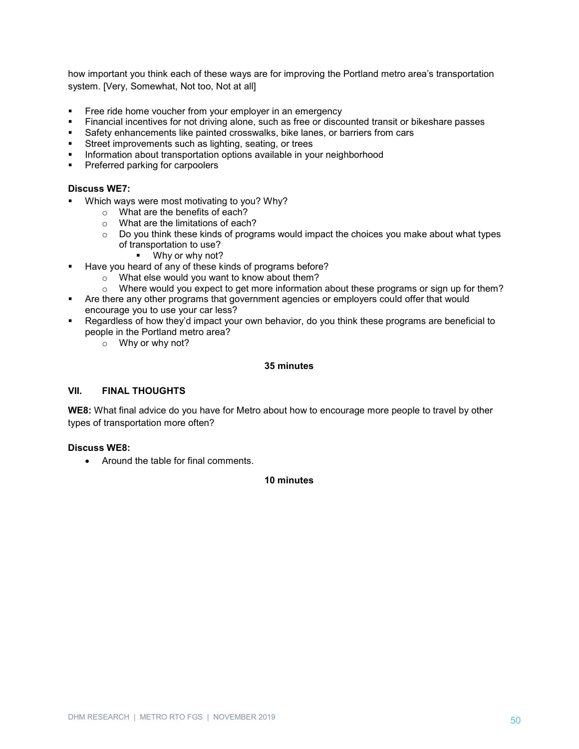how important you think each of these ways are for improving the Portland metro area's transportation system. [Very, Somewhat, Not too, Not at all]

- Free ride home voucher from your employer in an emergency
- Financial incentives for not driving alone, such as free or discounted transit or bikeshare passes
- Safety enhancements like painted crosswalks, bike lanes, or barriers from cars
- Street improvements such as lighting, seating, or trees
- Information about transportation options available in your neighborhood
- Preferred parking for carpoolers

#### **Discuss WE7:**

- **Which ways were most motivating to you? Why?** 
	- o What are the benefits of each?
	- $\circ$  What are the limitations of each?
	- o Do you think these kinds of programs would impact the choices you make about what types of transportation to use?
		- Why or why not?
- Have you heard of any of these kinds of programs before?
	- o What else would you want to know about them?
	- $\circ$  Where would you expect to get more information about these programs or sign up for them?
- Are there any other programs that government agencies or employers could offer that would encourage you to use your car less?
- Regardless of how they'd impact your own behavior, do you think these programs are beneficial to people in the Portland metro area?
	- o Why or why not?

#### **35 minutes**

#### **VII. FINAL THOUGHTS**

**WE8:** What final advice do you have for Metro about how to encourage more people to travel by other types of transportation more often?

#### **Discuss WE8:**

• Around the table for final comments.

#### **10 minutes**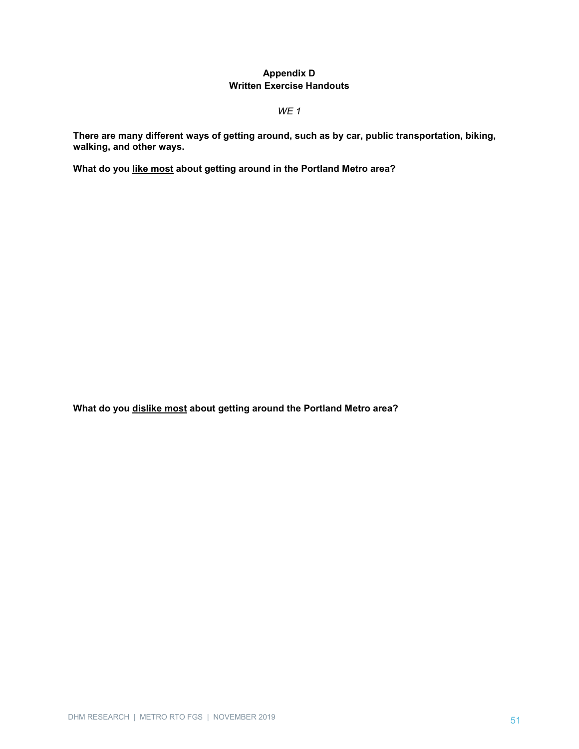# **Appendix D Written Exercise Handouts**

*WE 1*

**There are many different ways of getting around, such as by car, public transportation, biking, walking, and other ways.** 

**What do you like most about getting around in the Portland Metro area?**

**What do you dislike most about getting around the Portland Metro area?**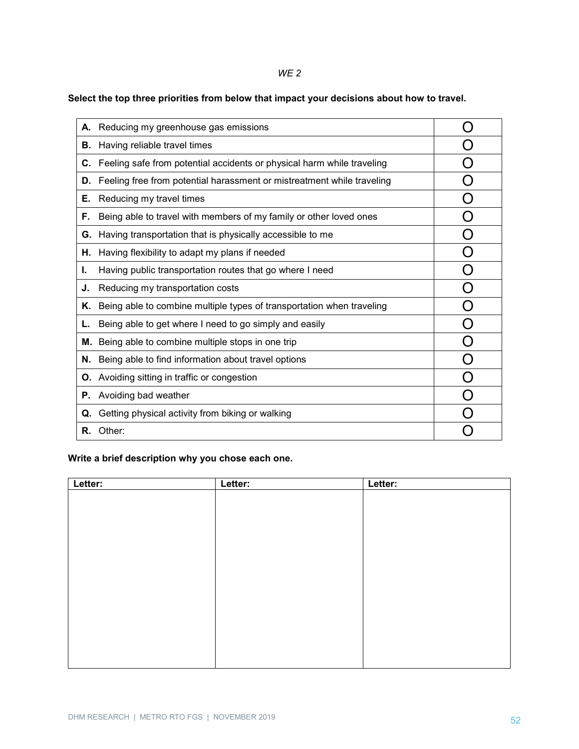# *WE 2*

# **Select the top three priorities from below that impact your decisions about how to travel.**

|    | A. Reducing my greenhouse gas emissions                                          |  |
|----|----------------------------------------------------------------------------------|--|
| В. | Having reliable travel times                                                     |  |
|    | <b>C.</b> Feeling safe from potential accidents or physical harm while traveling |  |
| D. | Feeling free from potential harassment or mistreatment while traveling           |  |
| Е. | Reducing my travel times                                                         |  |
| F. | Being able to travel with members of my family or other loved ones               |  |
| G. | Having transportation that is physically accessible to me                        |  |
| Η. | Having flexibility to adapt my plans if needed                                   |  |
| ı. | Having public transportation routes that go where I need                         |  |
| J. | Reducing my transportation costs                                                 |  |
| Κ. | Being able to combine multiple types of transportation when traveling            |  |
| L. | Being able to get where I need to go simply and easily                           |  |
| м. | Being able to combine multiple stops in one trip                                 |  |
|    | N. Being able to find information about travel options                           |  |
|    | <b>O.</b> Avoiding sitting in traffic or congestion                              |  |
|    | <b>P.</b> Avoiding bad weather                                                   |  |
| Q. | Getting physical activity from biking or walking                                 |  |
|    | R. Other:                                                                        |  |

# **Write a brief description why you chose each one.**

| Letter: | Letter: | Letter: |
|---------|---------|---------|
|         |         |         |
|         |         |         |
|         |         |         |
|         |         |         |
|         |         |         |
|         |         |         |
|         |         |         |
|         |         |         |
|         |         |         |
|         |         |         |
|         |         |         |
|         |         |         |
|         |         |         |
|         |         |         |
|         |         |         |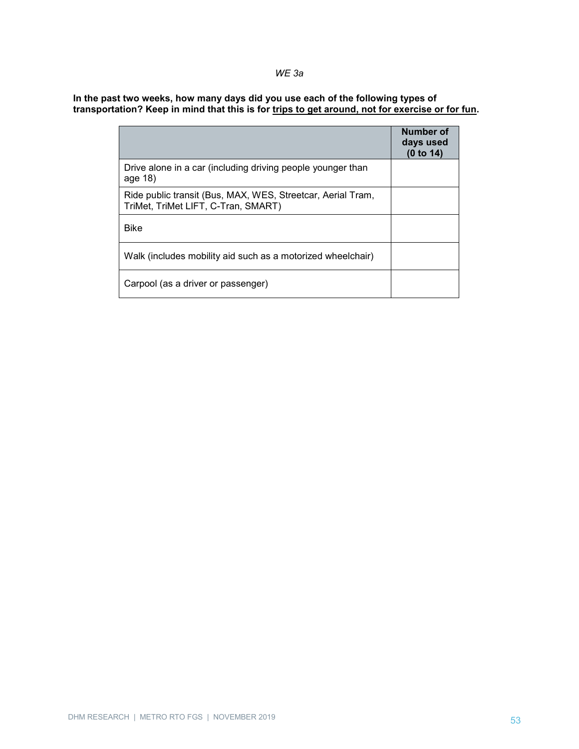# *WE 3a*

**In the past two weeks, how many days did you use each of the following types of transportation? Keep in mind that this is for trips to get around, not for exercise or for fun.**

|                                                                                                    | Number of<br>days used<br>(0 to 14) |
|----------------------------------------------------------------------------------------------------|-------------------------------------|
| Drive alone in a car (including driving people younger than<br>age 18)                             |                                     |
| Ride public transit (Bus, MAX, WES, Streetcar, Aerial Tram,<br>TriMet, TriMet LIFT, C-Tran, SMART) |                                     |
| <b>Bike</b>                                                                                        |                                     |
| Walk (includes mobility aid such as a motorized wheelchair)                                        |                                     |
| Carpool (as a driver or passenger)                                                                 |                                     |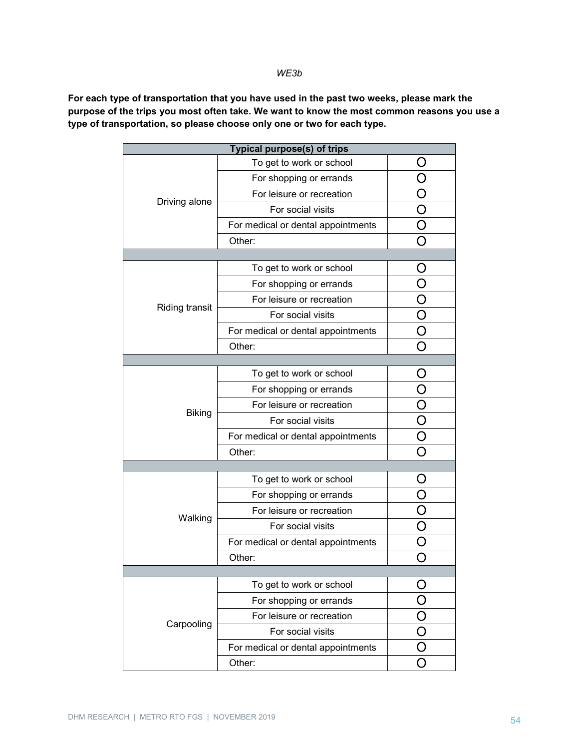#### *WE3b*

**For each type of transportation that you have used in the past two weeks, please mark the purpose of the trips you most often take. We want to know the most common reasons you use a type of transportation, so please choose only one or two for each type.**

| To get to work or school<br>$\Box$<br>O<br>For shopping or errands |  |  |  |
|--------------------------------------------------------------------|--|--|--|
|                                                                    |  |  |  |
|                                                                    |  |  |  |
| For leisure or recreation<br>O                                     |  |  |  |
| Driving alone<br>$\bigcirc$<br>For social visits                   |  |  |  |
| O<br>For medical or dental appointments                            |  |  |  |
| O<br>Other:                                                        |  |  |  |
|                                                                    |  |  |  |
| To get to work or school<br>Ő                                      |  |  |  |
| For shopping or errands                                            |  |  |  |
| Ο<br>For leisure or recreation                                     |  |  |  |
| <b>Riding transit</b><br>O<br>For social visits                    |  |  |  |
| O<br>For medical or dental appointments                            |  |  |  |
| Other:                                                             |  |  |  |
|                                                                    |  |  |  |
| To get to work or school<br>O                                      |  |  |  |
| O<br>For shopping or errands                                       |  |  |  |
| $\frac{\overline{O}}{O}$<br>For leisure or recreation              |  |  |  |
| <b>Biking</b><br>For social visits                                 |  |  |  |
| $\bar{\bar{\rm O}}$<br>For medical or dental appointments          |  |  |  |
| Other:<br>O                                                        |  |  |  |
|                                                                    |  |  |  |
| To get to work or school<br>O                                      |  |  |  |
| For shopping or errands<br>O                                       |  |  |  |
| For leisure or recreation                                          |  |  |  |
| Walking<br>$\bigcirc$<br>For social visits                         |  |  |  |
| Ó<br>For medical or dental appointments                            |  |  |  |
| Other:                                                             |  |  |  |
|                                                                    |  |  |  |
| To get to work or school                                           |  |  |  |
| For shopping or errands                                            |  |  |  |
| For leisure or recreation                                          |  |  |  |
| Carpooling<br>For social visits                                    |  |  |  |
| For medical or dental appointments                                 |  |  |  |
| Other:                                                             |  |  |  |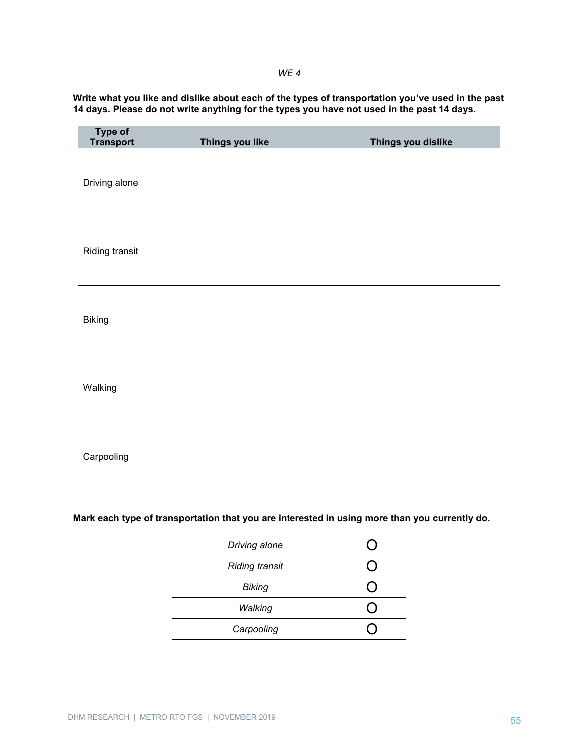#### *WE 4*

| Write what you like and dislike about each of the types of transportation you've used in the past |
|---------------------------------------------------------------------------------------------------|
| 14 days. Please do not write anything for the types you have not used in the past 14 days.        |

| Type of<br>Transport | Things you like | Things you dislike |
|----------------------|-----------------|--------------------|
| Driving alone        |                 |                    |
| Riding transit       |                 |                    |
| <b>Biking</b>        |                 |                    |
| Walking              |                 |                    |
| Carpooling           |                 |                    |

# **Mark each type of transportation that you are interested in using more than you currently do.**

| Driving alone         |  |
|-----------------------|--|
| <b>Riding transit</b> |  |
| <b>Biking</b>         |  |
| Walking               |  |
| Carpooling            |  |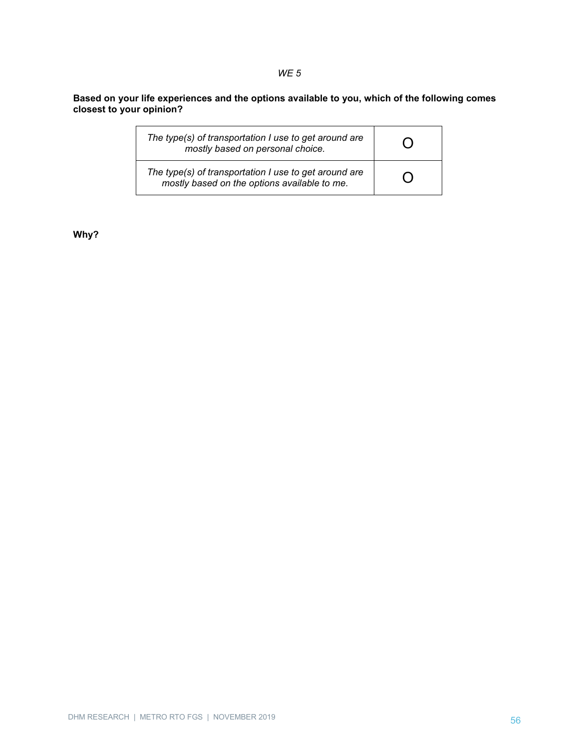**Based on your life experiences and the options available to you, which of the following comes closest to your opinion?**

*WE 5*

| The type(s) of transportation I use to get around are<br>mostly based on personal choice.             |                |
|-------------------------------------------------------------------------------------------------------|----------------|
| The type(s) of transportation I use to get around are<br>mostly based on the options available to me. | $\mathfrak{g}$ |

**Why?**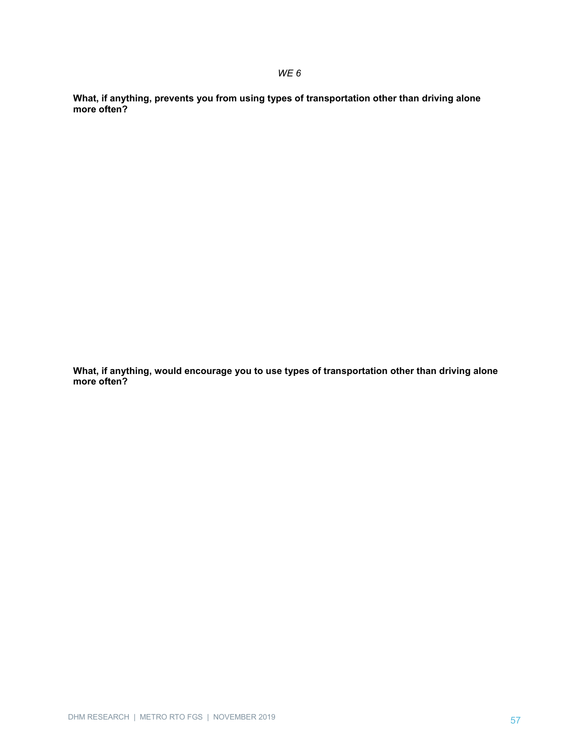**What, if anything, prevents you from using types of transportation other than driving alone more often?**

**What, if anything, would encourage you to use types of transportation other than driving alone more often?**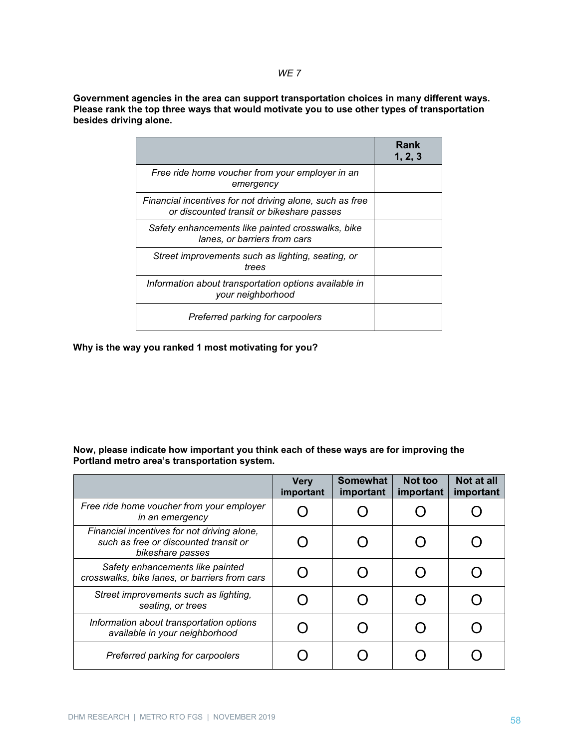*WE 7*

**Government agencies in the area can support transportation choices in many different ways. Please rank the top three ways that would motivate you to use other types of transportation besides driving alone.**

|                                                                                                       | Rank<br>1, 2, 3 |
|-------------------------------------------------------------------------------------------------------|-----------------|
| Free ride home voucher from your employer in an<br>emergency                                          |                 |
| Financial incentives for not driving alone, such as free<br>or discounted transit or bikeshare passes |                 |
| Safety enhancements like painted crosswalks, bike<br>lanes, or barriers from cars                     |                 |
| Street improvements such as lighting, seating, or<br>trees                                            |                 |
| Information about transportation options available in<br>your neighborhood                            |                 |
| Preferred parking for carpoolers                                                                      |                 |

**Why is the way you ranked 1 most motivating for you?**

#### **Now, please indicate how important you think each of these ways are for improving the Portland metro area's transportation system.**

|                                                                                                          | <b>Very</b><br>important | <b>Somewhat</b><br>important | Not too<br>important | Not at all<br>important |
|----------------------------------------------------------------------------------------------------------|--------------------------|------------------------------|----------------------|-------------------------|
| Free ride home voucher from your employer<br>in an emergency                                             |                          |                              |                      |                         |
| Financial incentives for not driving alone,<br>such as free or discounted transit or<br>bikeshare passes |                          |                              |                      |                         |
| Safety enhancements like painted<br>crosswalks, bike lanes, or barriers from cars                        |                          |                              |                      |                         |
| Street improvements such as lighting,<br>seating, or trees                                               |                          |                              |                      |                         |
| Information about transportation options<br>available in your neighborhood                               |                          |                              |                      |                         |
| Preferred parking for carpoolers                                                                         |                          |                              |                      |                         |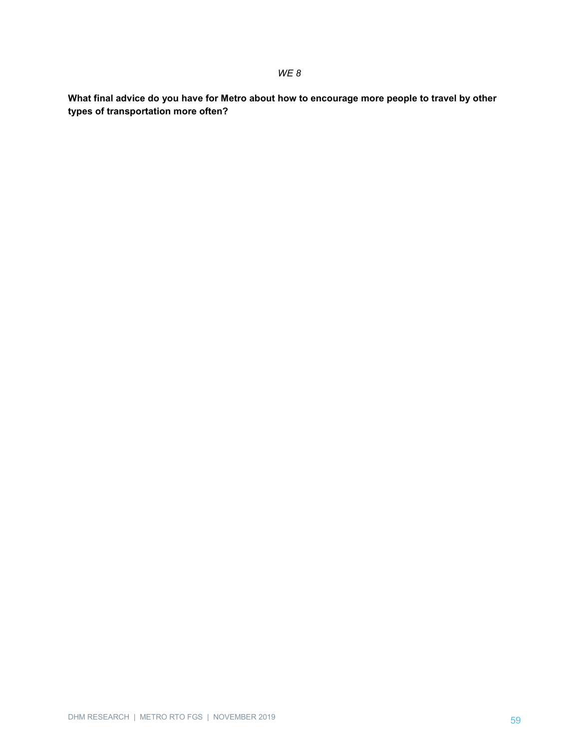**What final advice do you have for Metro about how to encourage more people to travel by other types of transportation more often?**